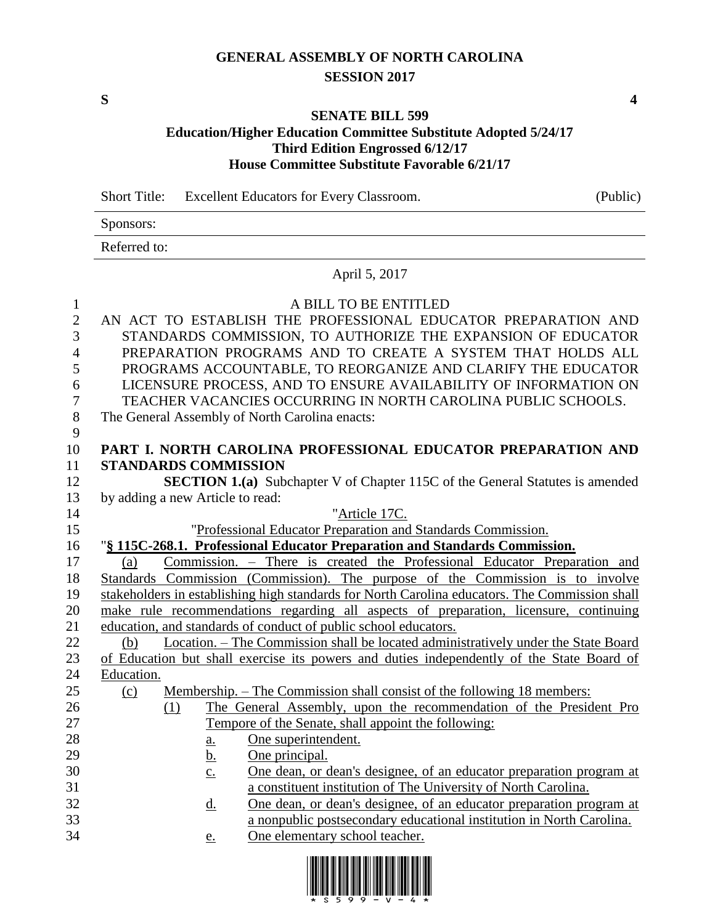# **GENERAL ASSEMBLY OF NORTH CAROLINA SESSION 2017**

**S 4**

### **SENATE BILL 599 Education/Higher Education Committee Substitute Adopted 5/24/17 Third Edition Engrossed 6/12/17**

**House Committee Substitute Favorable 6/21/17**

Short Title: Excellent Educators for Every Classroom. (Public)

Sponsors:

Referred to:

## April 5, 2017

| $\mathbf{1}$   |                                  |                            | A BILL TO BE ENTITLED                                                                          |
|----------------|----------------------------------|----------------------------|------------------------------------------------------------------------------------------------|
| $\sqrt{2}$     |                                  |                            | AN ACT TO ESTABLISH THE PROFESSIONAL EDUCATOR PREPARATION AND                                  |
| 3              |                                  |                            | STANDARDS COMMISSION, TO AUTHORIZE THE EXPANSION OF EDUCATOR                                   |
| $\overline{4}$ |                                  |                            | PREPARATION PROGRAMS AND TO CREATE A SYSTEM THAT HOLDS ALL                                     |
| 5              |                                  |                            | PROGRAMS ACCOUNTABLE, TO REORGANIZE AND CLARIFY THE EDUCATOR                                   |
| 6              |                                  |                            | LICENSURE PROCESS, AND TO ENSURE AVAILABILITY OF INFORMATION ON                                |
| 7              |                                  |                            | TEACHER VACANCIES OCCURRING IN NORTH CAROLINA PUBLIC SCHOOLS.                                  |
| $8\,$          |                                  |                            | The General Assembly of North Carolina enacts:                                                 |
| 9              |                                  |                            |                                                                                                |
| 10             |                                  |                            | PART I. NORTH CAROLINA PROFESSIONAL EDUCATOR PREPARATION AND                                   |
| 11             | <b>STANDARDS COMMISSION</b>      |                            |                                                                                                |
| 12             |                                  |                            | <b>SECTION 1.(a)</b> Subchapter V of Chapter 115C of the General Statutes is amended           |
| 13             | by adding a new Article to read: |                            |                                                                                                |
| 14             |                                  |                            | "Article 17C.                                                                                  |
| 15             |                                  |                            | "Professional Educator Preparation and Standards Commission.                                   |
| 16             |                                  |                            | "§ 115C-268.1. Professional Educator Preparation and Standards Commission.                     |
| 17             | (a)                              |                            | Commission. - There is created the Professional Educator Preparation and                       |
| 18             |                                  |                            | Standards Commission (Commission). The purpose of the Commission is to involve                 |
| 19             |                                  |                            | stakeholders in establishing high standards for North Carolina educators. The Commission shall |
| 20             |                                  |                            | make rule recommendations regarding all aspects of preparation, licensure, continuing          |
| 21             |                                  |                            | education, and standards of conduct of public school educators.                                |
| 22             | (b)                              |                            | Location. – The Commission shall be located administratively under the State Board             |
| 23             |                                  |                            | of Education but shall exercise its powers and duties independently of the State Board of      |
| 24             | Education.                       |                            |                                                                                                |
| 25             | (c)                              |                            | Membership. – The Commission shall consist of the following 18 members:                        |
| 26             | (1)                              |                            | The General Assembly, upon the recommendation of the President Pro                             |
| 27             |                                  |                            | Tempore of the Senate, shall appoint the following:                                            |
| 28             |                                  | $\underline{\mathbf{a}}$ . | One superintendent.                                                                            |
| 29             |                                  | <u>b.</u>                  | One principal.                                                                                 |
| 30             |                                  | $\underline{c}$ .          | One dean, or dean's designee, of an educator preparation program at                            |
| 31             |                                  |                            | a constituent institution of The University of North Carolina.                                 |
| 32             |                                  | <u>d.</u>                  | One dean, or dean's designee, of an educator preparation program at                            |
| 33             |                                  |                            | a nonpublic postsecondary educational institution in North Carolina.                           |
| 34             |                                  | e.                         | One elementary school teacher.                                                                 |

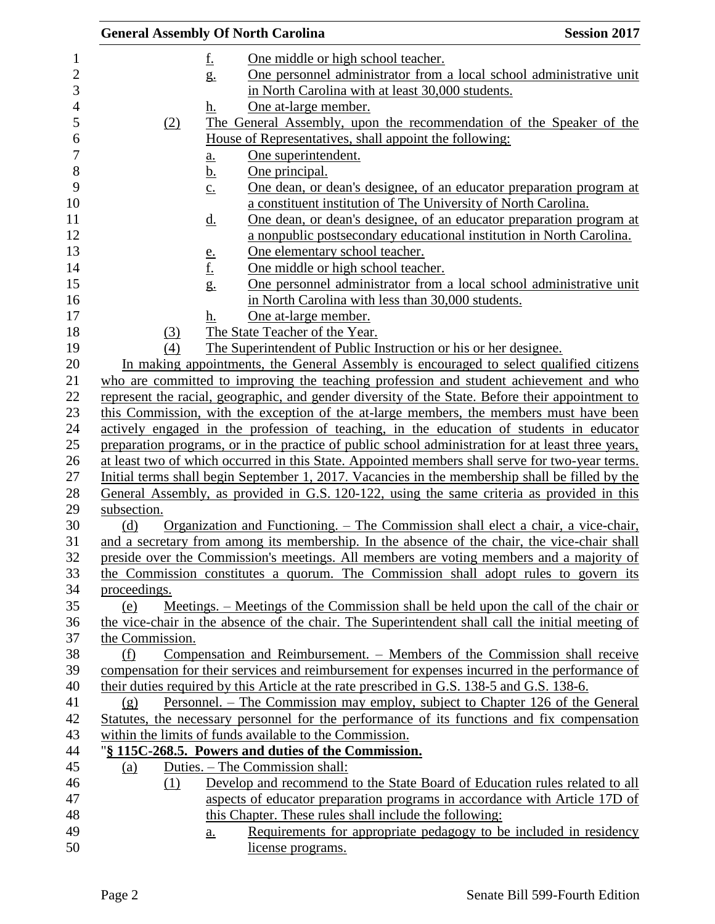|                 |                   | <b>General Assembly Of North Carolina</b>                                                  | <b>Session 2017</b>                                                                                                                                                               |
|-----------------|-------------------|--------------------------------------------------------------------------------------------|-----------------------------------------------------------------------------------------------------------------------------------------------------------------------------------|
|                 | <u>f.</u>         | One middle or high school teacher.                                                         |                                                                                                                                                                                   |
|                 | $g_{\cdot}$       |                                                                                            | One personnel administrator from a local school administrative unit                                                                                                               |
|                 |                   | in North Carolina with at least 30,000 students.                                           |                                                                                                                                                                                   |
|                 | h.                | One at-large member.                                                                       |                                                                                                                                                                                   |
| (2)             |                   |                                                                                            | The General Assembly, upon the recommendation of the Speaker of the                                                                                                               |
|                 |                   | House of Representatives, shall appoint the following:                                     |                                                                                                                                                                                   |
|                 | a.                | One superintendent.                                                                        |                                                                                                                                                                                   |
|                 | <u>b.</u>         | One principal.                                                                             |                                                                                                                                                                                   |
|                 | $\underline{c}$ . |                                                                                            | One dean, or dean's designee, of an educator preparation program at                                                                                                               |
|                 |                   |                                                                                            | a constituent institution of The University of North Carolina.                                                                                                                    |
|                 | <u>d.</u>         |                                                                                            | <u>One dean, or dean's designee, of an educator preparation program at</u>                                                                                                        |
|                 |                   |                                                                                            | a nonpublic postsecondary educational institution in North Carolina.                                                                                                              |
|                 |                   | One elementary school teacher.                                                             |                                                                                                                                                                                   |
|                 | $\frac{e}{f}$     | One middle or high school teacher.                                                         |                                                                                                                                                                                   |
|                 | g.                |                                                                                            | One personnel administrator from a local school administrative unit                                                                                                               |
|                 |                   | in North Carolina with less than 30,000 students.                                          |                                                                                                                                                                                   |
|                 | h.                | One at-large member.                                                                       |                                                                                                                                                                                   |
| (3)             |                   | The State Teacher of the Year.                                                             |                                                                                                                                                                                   |
| (4)             |                   | The Superintendent of Public Instruction or his or her designee.                           |                                                                                                                                                                                   |
|                 |                   |                                                                                            | In making appointments, the General Assembly is encouraged to select qualified citizens                                                                                           |
|                 |                   |                                                                                            | who are committed to improving the teaching profession and student achievement and who                                                                                            |
|                 |                   |                                                                                            | represent the racial, geographic, and gender diversity of the State. Before their appointment to                                                                                  |
|                 |                   |                                                                                            | this Commission, with the exception of the at-large members, the members must have been                                                                                           |
|                 |                   |                                                                                            | actively engaged in the profession of teaching, in the education of students in educator                                                                                          |
|                 |                   |                                                                                            | preparation programs, or in the practice of public school administration for at least three years,                                                                                |
|                 |                   |                                                                                            | at least two of which occurred in this State. Appointed members shall serve for two-year terms.                                                                                   |
|                 |                   |                                                                                            | Initial terms shall begin September 1, 2017. Vacancies in the membership shall be filled by the                                                                                   |
|                 |                   |                                                                                            | General Assembly, as provided in G.S. 120-122, using the same criteria as provided in this                                                                                        |
| subsection.     |                   |                                                                                            |                                                                                                                                                                                   |
| (d)             |                   |                                                                                            | Organization and Functioning. – The Commission shall elect a chair, a vice-chair,<br>and a secretary from among its membership. In the absence of the chair, the vice-chair shall |
|                 |                   |                                                                                            | preside over the Commission's meetings. All members are voting members and a majority of                                                                                          |
|                 |                   |                                                                                            | the Commission constitutes a quorum. The Commission shall adopt rules to govern its                                                                                               |
| proceedings.    |                   |                                                                                            |                                                                                                                                                                                   |
| (e)             |                   |                                                                                            | Meetings. – Meetings of the Commission shall be held upon the call of the chair or                                                                                                |
|                 |                   |                                                                                            | the vice-chair in the absence of the chair. The Superintendent shall call the initial meeting of                                                                                  |
| the Commission. |                   |                                                                                            |                                                                                                                                                                                   |
| (f)             |                   |                                                                                            | Compensation and Reimbursement. – Members of the Commission shall receive                                                                                                         |
|                 |                   |                                                                                            | compensation for their services and reimbursement for expenses incurred in the performance of                                                                                     |
|                 |                   | their duties required by this Article at the rate prescribed in G.S. 138-5 and G.S. 138-6. |                                                                                                                                                                                   |
| (g)             |                   |                                                                                            | Personnel. – The Commission may employ, subject to Chapter 126 of the General                                                                                                     |
|                 |                   |                                                                                            | Statutes, the necessary personnel for the performance of its functions and fix compensation                                                                                       |
|                 |                   | within the limits of funds available to the Commission.                                    |                                                                                                                                                                                   |
|                 |                   | "§ 115C-268.5. Powers and duties of the Commission.                                        |                                                                                                                                                                                   |
| (a)             |                   | Duties. – The Commission shall:                                                            |                                                                                                                                                                                   |
| (1)             |                   |                                                                                            | Develop and recommend to the State Board of Education rules related to all                                                                                                        |
|                 |                   |                                                                                            | aspects of educator preparation programs in accordance with Article 17D of                                                                                                        |
|                 |                   | this Chapter. These rules shall include the following:                                     |                                                                                                                                                                                   |
|                 | a.                |                                                                                            | Requirements for appropriate pedagogy to be included in residency                                                                                                                 |
|                 |                   | license programs.                                                                          |                                                                                                                                                                                   |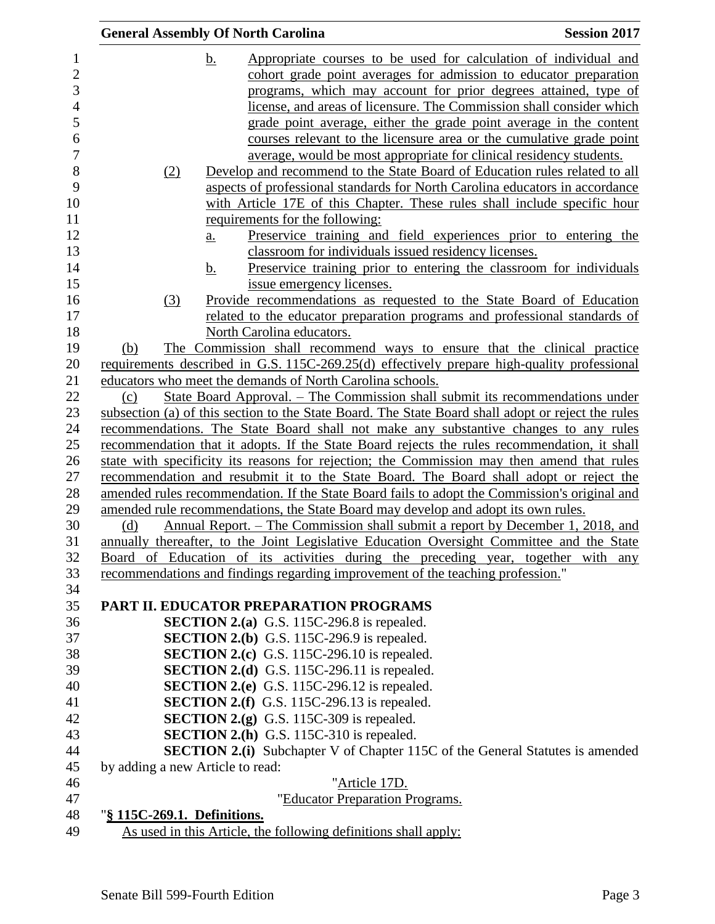|                                  |                   | <b>General Assembly Of North Carolina</b>                                                                                                                                           | <b>Session 2017</b>                                                                                                                        |
|----------------------------------|-------------------|-------------------------------------------------------------------------------------------------------------------------------------------------------------------------------------|--------------------------------------------------------------------------------------------------------------------------------------------|
|                                  | <u>b.</u>         |                                                                                                                                                                                     | Appropriate courses to be used for calculation of individual and<br>cohort grade point averages for admission to educator preparation      |
|                                  |                   |                                                                                                                                                                                     | programs, which may account for prior degrees attained, type of                                                                            |
|                                  |                   |                                                                                                                                                                                     | license, and areas of licensure. The Commission shall consider which<br>grade point average, either the grade point average in the content |
|                                  |                   |                                                                                                                                                                                     | courses relevant to the licensure area or the cumulative grade point                                                                       |
|                                  |                   | average, would be most appropriate for clinical residency students.                                                                                                                 |                                                                                                                                            |
| (2)                              |                   | Develop and recommend to the State Board of Education rules related to all                                                                                                          |                                                                                                                                            |
|                                  |                   | aspects of professional standards for North Carolina educators in accordance                                                                                                        |                                                                                                                                            |
|                                  |                   | with Article 17E of this Chapter. These rules shall include specific hour                                                                                                           |                                                                                                                                            |
|                                  |                   | requirements for the following:                                                                                                                                                     |                                                                                                                                            |
|                                  | $\underline{a}$ . |                                                                                                                                                                                     | Preservice training and field experiences prior to entering the                                                                            |
|                                  |                   | classroom for individuals issued residency licenses.                                                                                                                                |                                                                                                                                            |
|                                  | b.                |                                                                                                                                                                                     | Preservice training prior to entering the classroom for individuals                                                                        |
|                                  |                   | issue emergency licenses.                                                                                                                                                           |                                                                                                                                            |
| (3)                              |                   | Provide recommendations as requested to the State Board of Education<br>related to the educator preparation programs and professional standards of                                  |                                                                                                                                            |
|                                  |                   | North Carolina educators.                                                                                                                                                           |                                                                                                                                            |
| (b)                              |                   | The Commission shall recommend ways to ensure that the clinical practice                                                                                                            |                                                                                                                                            |
|                                  |                   | requirements described in G.S. 115C-269.25(d) effectively prepare high-quality professional                                                                                         |                                                                                                                                            |
|                                  |                   | educators who meet the demands of North Carolina schools.                                                                                                                           |                                                                                                                                            |
| (c)                              |                   | State Board Approval. – The Commission shall submit its recommendations under                                                                                                       |                                                                                                                                            |
|                                  |                   | subsection (a) of this section to the State Board. The State Board shall adopt or reject the rules                                                                                  |                                                                                                                                            |
|                                  |                   | recommendations. The State Board shall not make any substantive changes to any rules                                                                                                |                                                                                                                                            |
|                                  |                   | recommendation that it adopts. If the State Board rejects the rules recommendation, it shall                                                                                        |                                                                                                                                            |
|                                  |                   | state with specificity its reasons for rejection; the Commission may then amend that rules                                                                                          |                                                                                                                                            |
|                                  |                   | recommendation and resubmit it to the State Board. The Board shall adopt or reject the                                                                                              |                                                                                                                                            |
|                                  |                   | amended rules recommendation. If the State Board fails to adopt the Commission's original and<br>amended rule recommendations, the State Board may develop and adopt its own rules. |                                                                                                                                            |
| (d)                              |                   | Annual Report. – The Commission shall submit a report by December 1, 2018, and                                                                                                      |                                                                                                                                            |
|                                  |                   | annually thereafter, to the Joint Legislative Education Oversight Committee and the State                                                                                           |                                                                                                                                            |
|                                  |                   | Board of Education of its activities during the preceding year, together with                                                                                                       | any                                                                                                                                        |
|                                  |                   | recommendations and findings regarding improvement of the teaching profession."                                                                                                     |                                                                                                                                            |
|                                  |                   |                                                                                                                                                                                     |                                                                                                                                            |
|                                  |                   | PART II. EDUCATOR PREPARATION PROGRAMS                                                                                                                                              |                                                                                                                                            |
|                                  |                   | <b>SECTION 2.(a)</b> G.S. 115C-296.8 is repealed.                                                                                                                                   |                                                                                                                                            |
|                                  |                   | <b>SECTION 2.(b)</b> G.S. 115C-296.9 is repealed.                                                                                                                                   |                                                                                                                                            |
|                                  |                   | <b>SECTION 2.(c)</b> G.S. 115C-296.10 is repealed.                                                                                                                                  |                                                                                                                                            |
|                                  |                   | SECTION 2.(d) G.S. 115C-296.11 is repealed.<br><b>SECTION 2.(e)</b> G.S. 115C-296.12 is repealed.                                                                                   |                                                                                                                                            |
|                                  |                   | <b>SECTION 2.(f)</b> G.S. 115C-296.13 is repealed.                                                                                                                                  |                                                                                                                                            |
|                                  |                   | <b>SECTION 2.(g)</b> G.S. 115C-309 is repealed.                                                                                                                                     |                                                                                                                                            |
|                                  |                   | <b>SECTION 2.(h)</b> G.S. 115C-310 is repealed.                                                                                                                                     |                                                                                                                                            |
|                                  |                   | <b>SECTION 2.(i)</b> Subchapter V of Chapter 115C of the General Statutes is amended                                                                                                |                                                                                                                                            |
| by adding a new Article to read: |                   |                                                                                                                                                                                     |                                                                                                                                            |
|                                  |                   | "Article 17D.                                                                                                                                                                       |                                                                                                                                            |
|                                  |                   | "Educator Preparation Programs.                                                                                                                                                     |                                                                                                                                            |
| "§ 115C-269.1. Definitions.      |                   |                                                                                                                                                                                     |                                                                                                                                            |
|                                  |                   | As used in this Article, the following definitions shall apply:                                                                                                                     |                                                                                                                                            |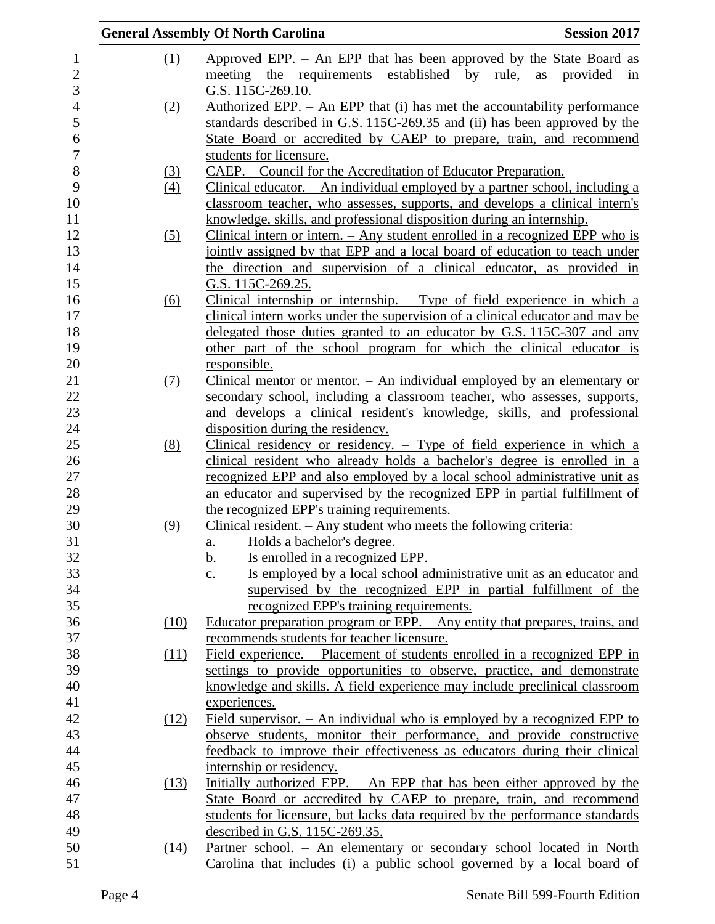|                   | <b>General Assembly Of North Carolina</b><br><b>Session 2017</b>                          |  |
|-------------------|-------------------------------------------------------------------------------------------|--|
| (1)               | Approved EPP. - An EPP that has been approved by the State Board as                       |  |
|                   | meeting the requirements established by rule,<br>as<br>provided<br>in                     |  |
|                   | G.S. 115C-269.10.                                                                         |  |
| (2)               | Authorized EPP. $-$ An EPP that (i) has met the accountability performance                |  |
|                   | standards described in G.S. 115C-269.35 and (ii) has been approved by the                 |  |
|                   | State Board or accredited by CAEP to prepare, train, and recommend                        |  |
|                   | students for licensure.                                                                   |  |
| <u>(3)</u>        | CAEP. – Council for the Accreditation of Educator Preparation.                            |  |
| $\left(4\right)$  | Clinical educator. - An individual employed by a partner school, including a              |  |
|                   | classroom teacher, who assesses, supports, and develops a clinical intern's               |  |
|                   | knowledge, skills, and professional disposition during an internship.                     |  |
| $\left( 5\right)$ | Clinical intern or intern. $-$ Any student enrolled in a recognized EPP who is            |  |
|                   | jointly assigned by that EPP and a local board of education to teach under                |  |
|                   | the direction and supervision of a clinical educator, as provided in                      |  |
|                   | G.S. 115C-269.25.                                                                         |  |
| (6)               | Clinical internship or internship. $-$ Type of field experience in which a                |  |
|                   | clinical intern works under the supervision of a clinical educator and may be             |  |
|                   | delegated those duties granted to an educator by G.S. 115C-307 and any                    |  |
|                   | other part of the school program for which the clinical educator is                       |  |
|                   | responsible.                                                                              |  |
| <u>(7)</u>        | Clinical mentor or mentor. $-$ An individual employed by an elementary or                 |  |
|                   | secondary school, including a classroom teacher, who assesses, supports,                  |  |
|                   | and develops a clinical resident's knowledge, skills, and professional                    |  |
|                   | disposition during the residency.                                                         |  |
| (8)               | Clinical residency or residency. $-$ Type of field experience in which a                  |  |
|                   | clinical resident who already holds a bachelor's degree is enrolled in a                  |  |
|                   | recognized EPP and also employed by a local school administrative unit as                 |  |
|                   | an educator and supervised by the recognized EPP in partial fulfillment of                |  |
|                   | the recognized EPP's training requirements.                                               |  |
| (9)               | Clinical resident. $-$ Any student who meets the following criteria:                      |  |
|                   | Holds a bachelor's degree.<br>a.                                                          |  |
|                   | Is enrolled in a recognized EPP.<br><u>b.</u>                                             |  |
|                   | Is employed by a local school administrative unit as an educator and<br>$\underline{c}$ . |  |
|                   | supervised by the recognized EPP in partial fulfillment of the                            |  |
|                   | recognized EPP's training requirements.                                                   |  |
| (10)              | Educator preparation program or EPP. - Any entity that prepares, trains, and              |  |
|                   | recommends students for teacher licensure.                                                |  |
| (11)              | Field experience. – Placement of students enrolled in a recognized EPP in                 |  |
|                   | settings to provide opportunities to observe, practice, and demonstrate                   |  |
|                   | knowledge and skills. A field experience may include preclinical classroom                |  |
|                   | experiences.                                                                              |  |
| (12)              | Field supervisor. $-$ An individual who is employed by a recognized EPP to                |  |
|                   | observe students, monitor their performance, and provide constructive                     |  |
|                   | feedback to improve their effectiveness as educators during their clinical                |  |
|                   | internship or residency.                                                                  |  |
| (13)              | Initially authorized EPP. - An EPP that has been either approved by the                   |  |
|                   | State Board or accredited by CAEP to prepare, train, and recommend                        |  |
|                   | students for licensure, but lacks data required by the performance standards              |  |
|                   | described in G.S. 115C-269.35.                                                            |  |
| (14)              | Partner school. - An elementary or secondary school located in North                      |  |
|                   | Carolina that includes (i) a public school governed by a local board of                   |  |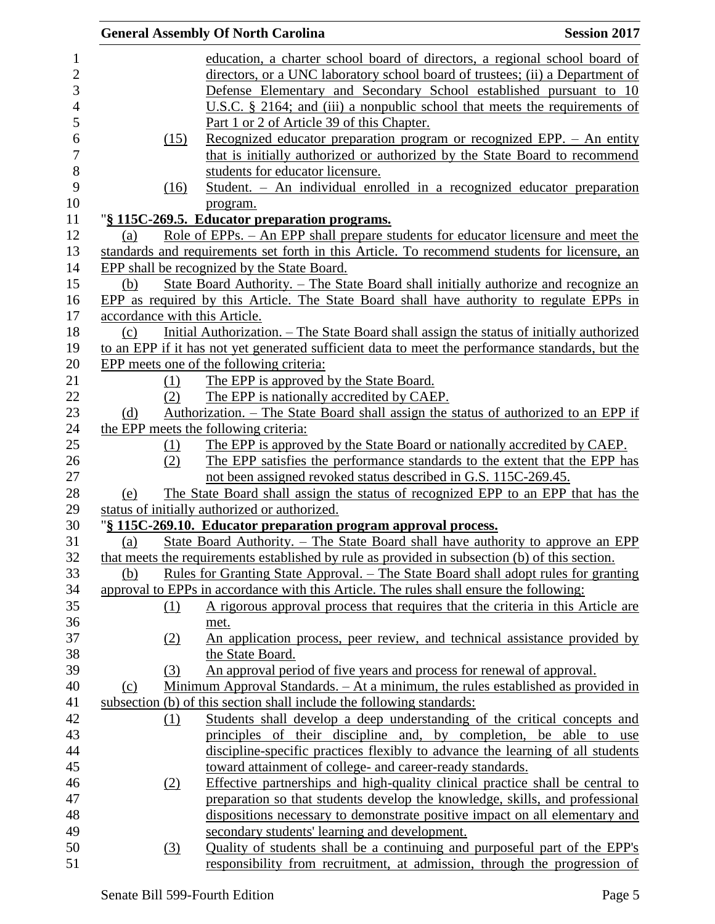|                               | <b>General Assembly Of North Carolina</b>                                                                                                         | <b>Session 2017</b> |
|-------------------------------|---------------------------------------------------------------------------------------------------------------------------------------------------|---------------------|
|                               | education, a charter school board of directors, a regional school board of                                                                        |                     |
|                               | directors, or a UNC laboratory school board of trustees; (ii) a Department of                                                                     |                     |
|                               | Defense Elementary and Secondary School established pursuant to 10                                                                                |                     |
|                               | U.S.C. $\S$ 2164; and (iii) a nonpublic school that meets the requirements of                                                                     |                     |
|                               | Part 1 or 2 of Article 39 of this Chapter.                                                                                                        |                     |
| (15)                          | Recognized educator preparation program or recognized EPP. - An entity                                                                            |                     |
|                               | that is initially authorized or authorized by the State Board to recommend                                                                        |                     |
|                               | students for educator licensure.                                                                                                                  |                     |
| (16)                          | Student. - An individual enrolled in a recognized educator preparation                                                                            |                     |
|                               | program.                                                                                                                                          |                     |
|                               | "§ 115C-269.5. Educator preparation programs.                                                                                                     |                     |
| (a)                           | Role of EPPs. – An EPP shall prepare students for educator licensure and meet the                                                                 |                     |
|                               | standards and requirements set forth in this Article. To recommend students for licensure, an                                                     |                     |
|                               | EPP shall be recognized by the State Board.                                                                                                       |                     |
| (b)                           | State Board Authority. – The State Board shall initially authorize and recognize an                                                               |                     |
|                               | EPP as required by this Article. The State Board shall have authority to regulate EPPs in                                                         |                     |
| accordance with this Article. |                                                                                                                                                   |                     |
| (c)                           | Initial Authorization. – The State Board shall assign the status of initially authorized                                                          |                     |
|                               | to an EPP if it has not yet generated sufficient data to meet the performance standards, but the                                                  |                     |
|                               | EPP meets one of the following criteria:                                                                                                          |                     |
| (1)                           | The EPP is approved by the State Board.                                                                                                           |                     |
| (2)                           | The EPP is nationally accredited by CAEP.                                                                                                         |                     |
|                               | Authorization. – The State Board shall assign the status of authorized to an EPP if                                                               |                     |
| (d)                           | the EPP meets the following criteria:                                                                                                             |                     |
|                               | The EPP is approved by the State Board or nationally accredited by CAEP.                                                                          |                     |
| (1)<br>(2)                    | The EPP satisfies the performance standards to the extent that the EPP has                                                                        |                     |
|                               | not been assigned revoked status described in G.S. 115C-269.45.                                                                                   |                     |
|                               |                                                                                                                                                   |                     |
| (e)                           | The State Board shall assign the status of recognized EPP to an EPP that has the<br>status of initially authorized or authorized.                 |                     |
|                               |                                                                                                                                                   |                     |
| (a)                           | "§ 115C-269.10. Educator preparation program approval process.<br>State Board Authority. - The State Board shall have authority to approve an EPP |                     |
|                               |                                                                                                                                                   |                     |
|                               | that meets the requirements established by rule as provided in subsection (b) of this section.                                                    |                     |
| (b)                           | <u>Rules for Granting State Approval. – The State Board shall adopt rules for granting</u>                                                        |                     |
|                               | approval to EPPs in accordance with this Article. The rules shall ensure the following:                                                           |                     |
| $\Omega$                      | A rigorous approval process that requires that the criteria in this Article are                                                                   |                     |
|                               | met.                                                                                                                                              |                     |
| (2)                           | An application process, peer review, and technical assistance provided by                                                                         |                     |
|                               | the State Board.                                                                                                                                  |                     |
| (3)                           | An approval period of five years and process for renewal of approval.                                                                             |                     |
| (c)                           | Minimum Approval Standards. - At a minimum, the rules established as provided in                                                                  |                     |
|                               | subsection (b) of this section shall include the following standards:                                                                             |                     |
| (1)                           | Students shall develop a deep understanding of the critical concepts and                                                                          |                     |
|                               | principles of their discipline and, by completion,                                                                                                | be able to use      |
|                               | discipline-specific practices flexibly to advance the learning of all students                                                                    |                     |
|                               | toward attainment of college- and career-ready standards.                                                                                         |                     |
| (2)                           | Effective partnerships and high-quality clinical practice shall be central to                                                                     |                     |
|                               | preparation so that students develop the knowledge, skills, and professional                                                                      |                     |
|                               | dispositions necessary to demonstrate positive impact on all elementary and                                                                       |                     |
|                               | secondary students' learning and development.                                                                                                     |                     |
| (3)                           | Quality of students shall be a continuing and purposeful part of the EPP's                                                                        |                     |
|                               | responsibility from recruitment, at admission, through the progression of                                                                         |                     |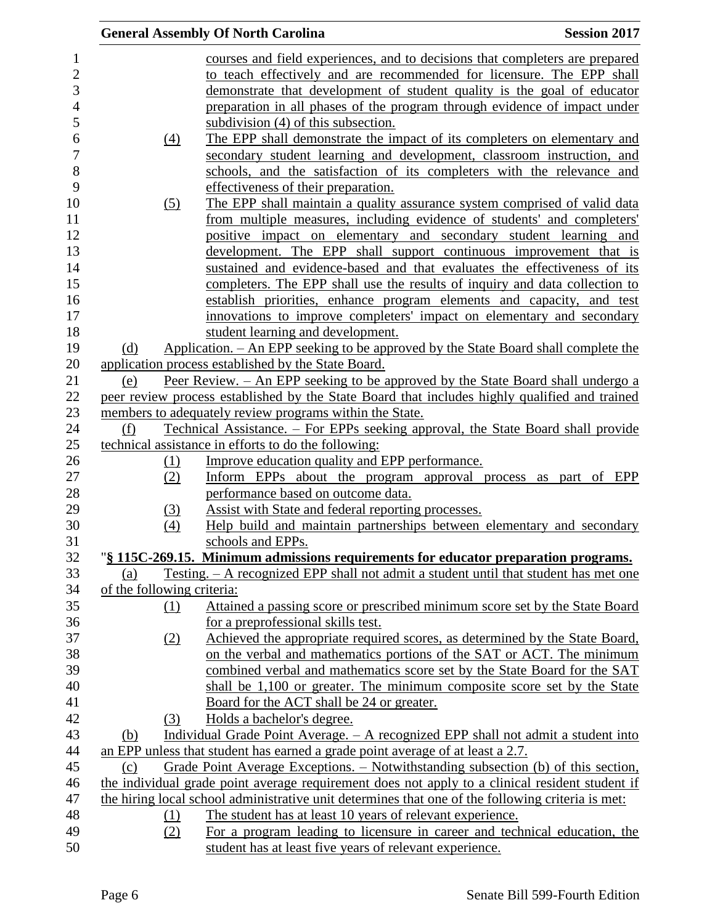|                            | <b>General Assembly Of North Carolina</b>                                                                                            | <b>Session 2017</b> |
|----------------------------|--------------------------------------------------------------------------------------------------------------------------------------|---------------------|
|                            | courses and field experiences, and to decisions that completers are prepared                                                         |                     |
|                            | to teach effectively and are recommended for licensure. The EPP shall                                                                |                     |
|                            | demonstrate that development of student quality is the goal of educator                                                              |                     |
|                            | preparation in all phases of the program through evidence of impact under                                                            |                     |
|                            | subdivision (4) of this subsection.                                                                                                  |                     |
|                            | The EPP shall demonstrate the impact of its completers on elementary and                                                             |                     |
| $\underline{(4)}$          |                                                                                                                                      |                     |
|                            | secondary student learning and development, classroom instruction, and                                                               |                     |
|                            | schools, and the satisfaction of its completers with the relevance and                                                               |                     |
|                            | effectiveness of their preparation.                                                                                                  |                     |
| $\left( 5\right)$          | The EPP shall maintain a quality assurance system comprised of valid data                                                            |                     |
|                            | from multiple measures, including evidence of students' and completers'                                                              |                     |
|                            | positive impact on elementary and secondary student learning and                                                                     |                     |
|                            | development. The EPP shall support continuous improvement that is                                                                    |                     |
|                            | sustained and evidence-based and that evaluates the effectiveness of its                                                             |                     |
|                            | completers. The EPP shall use the results of inquiry and data collection to                                                          |                     |
|                            | establish priorities, enhance program elements and capacity, and test                                                                |                     |
|                            | innovations to improve completers' impact on elementary and secondary                                                                |                     |
|                            | student learning and development.                                                                                                    |                     |
| (d)                        | Application. – An EPP seeking to be approved by the State Board shall complete the                                                   |                     |
|                            | application process established by the State Board.                                                                                  |                     |
| (e)                        | Peer Review. – An EPP seeking to be approved by the State Board shall undergo a                                                      |                     |
|                            | peer review process established by the State Board that includes highly qualified and trained                                        |                     |
|                            | members to adequately review programs within the State.                                                                              |                     |
| (f)                        | <u> Technical Assistance. – For EPPs seeking approval, the State Board shall provide</u>                                             |                     |
|                            | technical assistance in efforts to do the following:                                                                                 |                     |
| (1)                        | Improve education quality and EPP performance.                                                                                       |                     |
| (2)                        | Inform EPPs about the program approval process as part of EPP                                                                        |                     |
|                            | performance based on outcome data.                                                                                                   |                     |
| (3)                        | Assist with State and federal reporting processes.                                                                                   |                     |
| (4)                        | Help build and maintain partnerships between elementary and secondary                                                                |                     |
|                            | schools and EPPs.                                                                                                                    |                     |
|                            | "§ 115C-269.15. Minimum admissions requirements for educator preparation programs.                                                   |                     |
| (a)                        | <u>Testing. – A recognized EPP shall not admit a student until that student has met one</u>                                          |                     |
| of the following criteria: |                                                                                                                                      |                     |
| (1)                        | Attained a passing score or prescribed minimum score set by the State Board                                                          |                     |
|                            | for a preprofessional skills test.                                                                                                   |                     |
| (2)                        | Achieved the appropriate required scores, as determined by the State Board,                                                          |                     |
|                            | on the verbal and mathematics portions of the SAT or ACT. The minimum                                                                |                     |
|                            | combined verbal and mathematics score set by the State Board for the SAT                                                             |                     |
|                            | shall be 1,100 or greater. The minimum composite score set by the State                                                              |                     |
|                            | Board for the ACT shall be 24 or greater.                                                                                            |                     |
| (3)                        | Holds a bachelor's degree.                                                                                                           |                     |
| (b)                        | Individual Grade Point Average. - A recognized EPP shall not admit a student into                                                    |                     |
|                            | an EPP unless that student has earned a grade point average of at least a 2.7.                                                       |                     |
| (c)                        | Grade Point Average Exceptions. – Notwithstanding subsection (b) of this section,                                                    |                     |
|                            | the individual grade point average requirement does not apply to a clinical resident student if                                      |                     |
|                            | the hiring local school administrative unit determines that one of the following criteria is met:                                    |                     |
| (1)                        | The student has at least 10 years of relevant experience.                                                                            |                     |
|                            |                                                                                                                                      |                     |
|                            |                                                                                                                                      |                     |
| (2)                        | For a program leading to licensure in career and technical education, the<br>student has at least five years of relevant experience. |                     |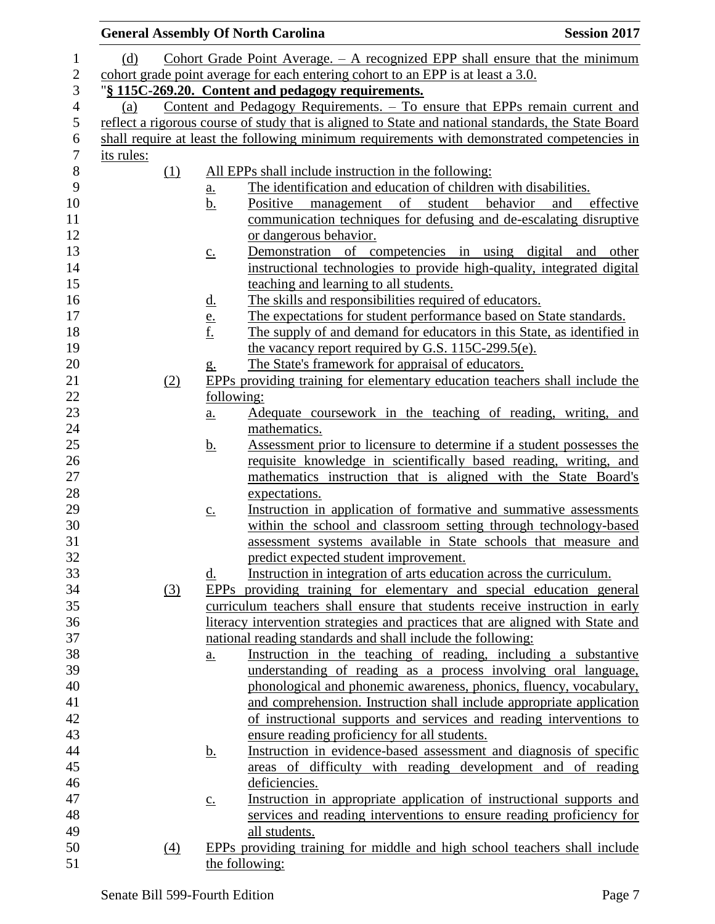| <b>General Assembly Of North Carolina</b> |                   |                                                                                  | <b>Session 2017</b>                                                                                                                        |
|-------------------------------------------|-------------------|----------------------------------------------------------------------------------|--------------------------------------------------------------------------------------------------------------------------------------------|
| (d)                                       |                   |                                                                                  | Cohort Grade Point Average. $-$ A recognized EPP shall ensure that the minimum                                                             |
|                                           |                   | cohort grade point average for each entering cohort to an EPP is at least a 3.0. |                                                                                                                                            |
|                                           |                   | "§ 115C-269.20. Content and pedagogy requirements.                               |                                                                                                                                            |
| (a)                                       |                   |                                                                                  | Content and Pedagogy Requirements. - To ensure that EPPs remain current and                                                                |
|                                           |                   |                                                                                  | reflect a rigorous course of study that is aligned to State and national standards, the State Board                                        |
|                                           |                   |                                                                                  | shall require at least the following minimum requirements with demonstrated competencies in                                                |
| its rules:                                |                   |                                                                                  |                                                                                                                                            |
| (1)                                       |                   | All EPPs shall include instruction in the following:                             |                                                                                                                                            |
|                                           | <u>a.</u>         | The identification and education of children with disabilities.                  |                                                                                                                                            |
|                                           | b.                | Positive management of student behavior                                          | and<br>effective                                                                                                                           |
|                                           |                   |                                                                                  | communication techniques for defusing and de-escalating disruptive                                                                         |
|                                           |                   | or dangerous behavior.                                                           |                                                                                                                                            |
|                                           | $\underline{c}$ . |                                                                                  | Demonstration of competencies in using digital and other                                                                                   |
|                                           |                   |                                                                                  | instructional technologies to provide high-quality, integrated digital                                                                     |
|                                           |                   | teaching and learning to all students.                                           |                                                                                                                                            |
|                                           | <u>d.</u>         | The skills and responsibilities required of educators.                           |                                                                                                                                            |
|                                           |                   |                                                                                  | The expectations for student performance based on State standards.                                                                         |
|                                           | $\frac{e}{f}$     |                                                                                  | The supply of and demand for educators in this State, as identified in                                                                     |
|                                           |                   | the vacancy report required by G.S. 115C-299.5(e).                               |                                                                                                                                            |
|                                           | g.                | The State's framework for appraisal of educators.                                |                                                                                                                                            |
| (2)                                       |                   |                                                                                  | EPPs providing training for elementary education teachers shall include the                                                                |
|                                           | following:        |                                                                                  |                                                                                                                                            |
|                                           | a.                |                                                                                  | Adequate coursework in the teaching of reading, writing, and                                                                               |
|                                           |                   | mathematics.                                                                     |                                                                                                                                            |
|                                           | <u>b.</u>         |                                                                                  | Assessment prior to licensure to determine if a student possesses the                                                                      |
|                                           |                   |                                                                                  | requisite knowledge in scientifically based reading, writing, and                                                                          |
|                                           |                   |                                                                                  | mathematics instruction that is aligned with the State Board's                                                                             |
|                                           |                   | expectations.                                                                    |                                                                                                                                            |
|                                           | $\underline{c}$ . |                                                                                  | Instruction in application of formative and summative assessments                                                                          |
|                                           |                   |                                                                                  | within the school and classroom setting through technology-based                                                                           |
|                                           |                   |                                                                                  | assessment systems available in State schools that measure and                                                                             |
|                                           |                   | predict expected student improvement.                                            |                                                                                                                                            |
|                                           | <u>d.</u>         | Instruction in integration of arts education across the curriculum.              |                                                                                                                                            |
| (3)                                       |                   |                                                                                  | EPPs providing training for elementary and special education general                                                                       |
|                                           |                   |                                                                                  | curriculum teachers shall ensure that students receive instruction in early                                                                |
|                                           |                   |                                                                                  | literacy intervention strategies and practices that are aligned with State and                                                             |
|                                           |                   | national reading standards and shall include the following:                      |                                                                                                                                            |
|                                           | $\underline{a}$ . |                                                                                  | Instruction in the teaching of reading, including a substantive                                                                            |
|                                           |                   |                                                                                  | understanding of reading as a process involving oral language,                                                                             |
|                                           |                   |                                                                                  | phonological and phonemic awareness, phonics, fluency, vocabulary,<br>and comprehension. Instruction shall include appropriate application |
|                                           |                   |                                                                                  | of instructional supports and services and reading interventions to                                                                        |
|                                           |                   | ensure reading proficiency for all students.                                     |                                                                                                                                            |
|                                           | <u>b.</u>         |                                                                                  | Instruction in evidence-based assessment and diagnosis of specific                                                                         |
|                                           |                   |                                                                                  | areas of difficulty with reading development and of reading                                                                                |
|                                           |                   | deficiencies.                                                                    |                                                                                                                                            |
|                                           | $\underline{c}$ . |                                                                                  | Instruction in appropriate application of instructional supports and                                                                       |
|                                           |                   |                                                                                  | services and reading interventions to ensure reading proficiency for                                                                       |
|                                           |                   | all students.                                                                    |                                                                                                                                            |
| $\left(4\right)$                          |                   |                                                                                  | EPPs providing training for middle and high school teachers shall include                                                                  |
|                                           |                   | the following:                                                                   |                                                                                                                                            |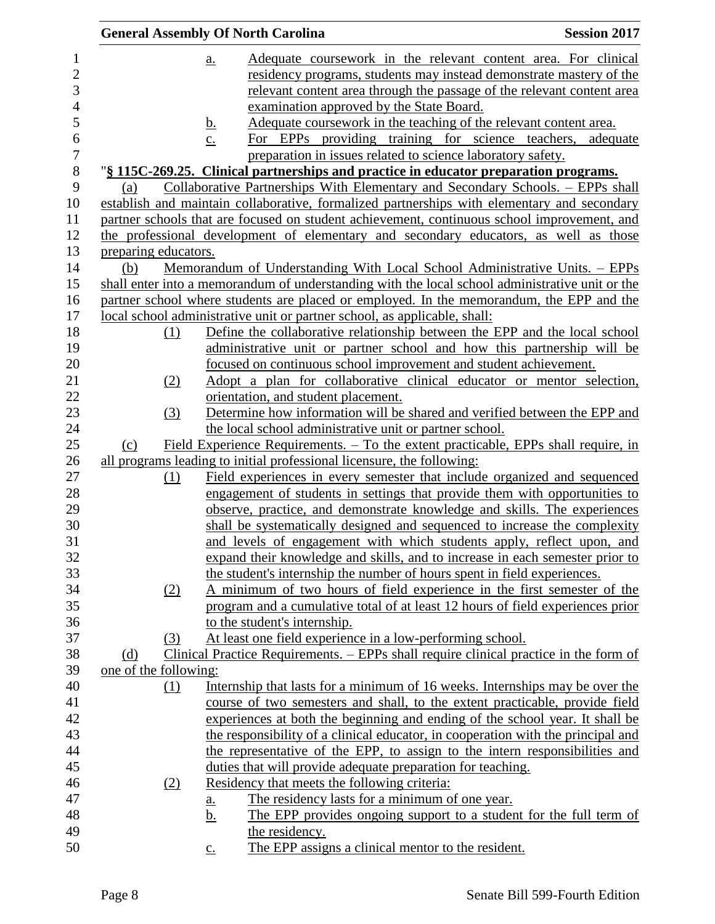|                |                       |                   | <b>General Assembly Of North Carolina</b>                                                                                                              | <b>Session 2017</b>                                                                   |
|----------------|-----------------------|-------------------|--------------------------------------------------------------------------------------------------------------------------------------------------------|---------------------------------------------------------------------------------------|
| $\mathbf{1}$   |                       | $\underline{a}$ . |                                                                                                                                                        | Adequate coursework in the relevant content area. For clinical                        |
| $\overline{c}$ |                       |                   |                                                                                                                                                        | residency programs, students may instead demonstrate mastery of the                   |
| 3              |                       |                   |                                                                                                                                                        | relevant content area through the passage of the relevant content area                |
| $\overline{4}$ |                       |                   | examination approved by the State Board.                                                                                                               |                                                                                       |
| 5              |                       | <u>b.</u>         | Adequate coursework in the teaching of the relevant content area.                                                                                      |                                                                                       |
|                |                       | $\underline{c}$ . |                                                                                                                                                        | For EPPs providing training for science teachers, adequate                            |
|                |                       |                   | preparation in issues related to science laboratory safety.                                                                                            |                                                                                       |
|                |                       |                   | "§ 115C-269.25. Clinical partnerships and practice in educator preparation programs.                                                                   |                                                                                       |
|                | (a)                   |                   | Collaborative Partnerships With Elementary and Secondary Schools. – EPPs shall                                                                         |                                                                                       |
|                |                       |                   | establish and maintain collaborative, formalized partnerships with elementary and secondary                                                            |                                                                                       |
|                |                       |                   | partner schools that are focused on student achievement, continuous school improvement, and                                                            |                                                                                       |
|                |                       |                   | the professional development of elementary and secondary educators, as well as those                                                                   |                                                                                       |
|                | preparing educators.  |                   |                                                                                                                                                        |                                                                                       |
|                | (b)                   |                   | Memorandum of Understanding With Local School Administrative Units. – EPPs                                                                             |                                                                                       |
|                |                       |                   | shall enter into a memorandum of understanding with the local school administrative unit or the                                                        |                                                                                       |
|                |                       |                   | partner school where students are placed or employed. In the memorandum, the EPP and the                                                               |                                                                                       |
|                |                       |                   | <u>local school administrative unit or partner school, as applicable, shall:</u>                                                                       |                                                                                       |
|                | (1)                   |                   | Define the collaborative relationship between the EPP and the local school                                                                             |                                                                                       |
|                |                       |                   | administrative unit or partner school and how this partnership will be                                                                                 |                                                                                       |
|                |                       |                   | focused on continuous school improvement and student achievement.                                                                                      |                                                                                       |
|                | (2)                   |                   | Adopt a plan for collaborative clinical educator or mentor selection,                                                                                  |                                                                                       |
|                |                       |                   | orientation, and student placement.                                                                                                                    |                                                                                       |
|                | (3)                   |                   | Determine how information will be shared and verified between the EPP and                                                                              |                                                                                       |
|                |                       |                   | the local school administrative unit or partner school.                                                                                                |                                                                                       |
|                | (c)                   |                   | Field Experience Requirements. – To the extent practicable, EPPs shall require, in                                                                     |                                                                                       |
|                |                       |                   | all programs leading to initial professional licensure, the following:                                                                                 |                                                                                       |
|                | (1)                   |                   | Field experiences in every semester that include organized and sequenced                                                                               |                                                                                       |
|                |                       |                   | engagement of students in settings that provide them with opportunities to<br>observe, practice, and demonstrate knowledge and skills. The experiences |                                                                                       |
|                |                       |                   | shall be systematically designed and sequenced to increase the complexity                                                                              |                                                                                       |
|                |                       |                   | and levels of engagement with which students apply, reflect upon, and                                                                                  |                                                                                       |
|                |                       |                   | expand their knowledge and skills, and to increase in each semester prior to                                                                           |                                                                                       |
|                |                       |                   | the student's internship the number of hours spent in field experiences.                                                                               |                                                                                       |
|                | (2)                   |                   | A minimum of two hours of field experience in the first semester of the                                                                                |                                                                                       |
|                |                       |                   |                                                                                                                                                        | program and a cumulative total of at least 12 hours of field experiences prior        |
|                |                       |                   | to the student's internship.                                                                                                                           |                                                                                       |
|                | (3)                   |                   | At least one field experience in a low-performing school.                                                                                              |                                                                                       |
|                | (d)                   |                   |                                                                                                                                                        | Clinical Practice Requirements. – EPPs shall require clinical practice in the form of |
|                | one of the following: |                   |                                                                                                                                                        |                                                                                       |
|                | $\Omega$              |                   | Internship that lasts for a minimum of 16 weeks. Internships may be over the                                                                           |                                                                                       |
|                |                       |                   | course of two semesters and shall, to the extent practicable, provide field                                                                            |                                                                                       |
|                |                       |                   | experiences at both the beginning and ending of the school year. It shall be                                                                           |                                                                                       |
|                |                       |                   | the responsibility of a clinical educator, in cooperation with the principal and                                                                       |                                                                                       |
|                |                       |                   | the representative of the EPP, to assign to the intern responsibilities and                                                                            |                                                                                       |
|                |                       |                   | duties that will provide adequate preparation for teaching.                                                                                            |                                                                                       |
|                | (2)                   |                   | Residency that meets the following criteria:                                                                                                           |                                                                                       |
|                |                       | <u>a.</u>         | The residency lasts for a minimum of one year.                                                                                                         |                                                                                       |
|                |                       | <u>b.</u>         |                                                                                                                                                        | The EPP provides ongoing support to a student for the full term of                    |
|                |                       |                   | the residency.                                                                                                                                         |                                                                                       |
|                |                       | $\underline{c}$ . | The EPP assigns a clinical mentor to the resident.                                                                                                     |                                                                                       |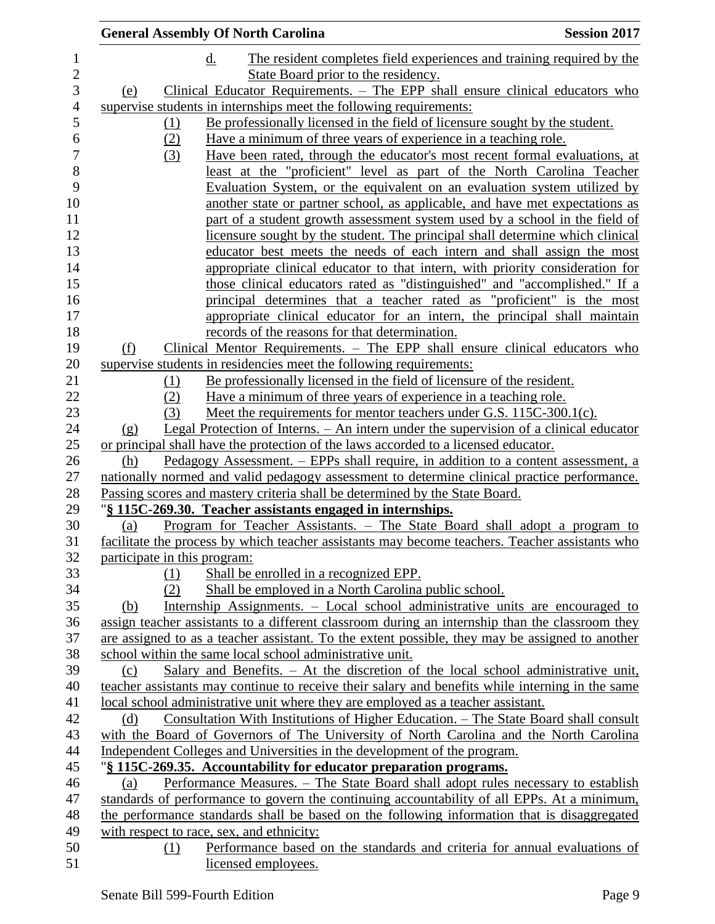|                              | <b>General Assembly Of North Carolina</b>                                                        | <b>Session 2017</b> |
|------------------------------|--------------------------------------------------------------------------------------------------|---------------------|
|                              | d.<br>The resident completes field experiences and training required by the                      |                     |
|                              | State Board prior to the residency.                                                              |                     |
| (e)                          | Clinical Educator Requirements. - The EPP shall ensure clinical educators who                    |                     |
|                              | supervise students in internships meet the following requirements:                               |                     |
| (1)                          | Be professionally licensed in the field of licensure sought by the student.                      |                     |
| (2)                          | Have a minimum of three years of experience in a teaching role.                                  |                     |
| (3)                          | Have been rated, through the educator's most recent formal evaluations, at                       |                     |
|                              | <u>least at the "proficient" level as part of the North Carolina Teacher</u>                     |                     |
|                              | Evaluation System, or the equivalent on an evaluation system utilized by                         |                     |
|                              | another state or partner school, as applicable, and have met expectations as                     |                     |
|                              | part of a student growth assessment system used by a school in the field of                      |                     |
|                              | licensure sought by the student. The principal shall determine which clinical                    |                     |
|                              | educator best meets the needs of each intern and shall assign the most                           |                     |
|                              | appropriate clinical educator to that intern, with priority consideration for                    |                     |
|                              | those clinical educators rated as "distinguished" and "accomplished." If a                       |                     |
|                              | principal determines that a teacher rated as "proficient" is the most                            |                     |
|                              | appropriate clinical educator for an intern, the principal shall maintain                        |                     |
|                              | records of the reasons for that determination.                                                   |                     |
| (f)                          | Clinical Mentor Requirements. – The EPP shall ensure clinical educators who                      |                     |
|                              | supervise students in residencies meet the following requirements:                               |                     |
| (1)                          | <u>Be professionally licensed in the field of licensure of the resident.</u>                     |                     |
| (2)                          | <u>Have a minimum of three years of experience in a teaching role.</u>                           |                     |
| (3)                          | Meet the requirements for mentor teachers under G.S. 115C-300.1(c).                              |                     |
| (g)                          | <u>Legal Protection of Interns. – An internet under the supervision of a clinical educator</u>   |                     |
|                              | or principal shall have the protection of the laws accorded to a licensed educator.              |                     |
| (h)                          | <u> Pedagogy Assessment. – EPPs shall require, in addition to a content assessment, a</u>        |                     |
|                              | nationally normed and valid pedagogy assessment to determine clinical practice performance.      |                     |
|                              | Passing scores and mastery criteria shall be determined by the State Board.                      |                     |
|                              | "§ 115C-269.30. Teacher assistants engaged in internships.                                       |                     |
| (a)                          | Program for Teacher Assistants. - The State Board shall adopt a program to                       |                     |
|                              | facilitate the process by which teacher assistants may become teachers. Teacher assistants who   |                     |
| participate in this program: |                                                                                                  |                     |
| (1)                          | Shall be enrolled in a recognized EPP.                                                           |                     |
| (2)                          | Shall be employed in a North Carolina public school.                                             |                     |
| (b)                          | Internship Assignments. – Local school administrative units are encouraged to                    |                     |
|                              | assign teacher assistants to a different classroom during an internship than the classroom they  |                     |
|                              | are assigned to as a teacher assistant. To the extent possible, they may be assigned to another  |                     |
|                              | school within the same local school administrative unit.                                         |                     |
| (c)                          | Salary and Benefits. – At the discretion of the local school administrative unit,                |                     |
|                              | teacher assistants may continue to receive their salary and benefits while interning in the same |                     |
|                              | local school administrative unit where they are employed as a teacher assistant.                 |                     |
| (d)                          | <u>Consultation With Institutions of Higher Education. – The State Board shall consult</u>       |                     |
|                              | with the Board of Governors of The University of North Carolina and the North Carolina           |                     |
|                              | Independent Colleges and Universities in the development of the program.                         |                     |
|                              | "§ 115C-269.35. Accountability for educator preparation programs.                                |                     |
| (a)                          | Performance Measures. - The State Board shall adopt rules necessary to establish                 |                     |
|                              | standards of performance to govern the continuing accountability of all EPPs. At a minimum,      |                     |
|                              | the performance standards shall be based on the following information that is disaggregated      |                     |
|                              | with respect to race, sex, and ethnicity:                                                        |                     |
| (1)                          | Performance based on the standards and criteria for annual evaluations of                        |                     |
|                              | licensed employees.                                                                              |                     |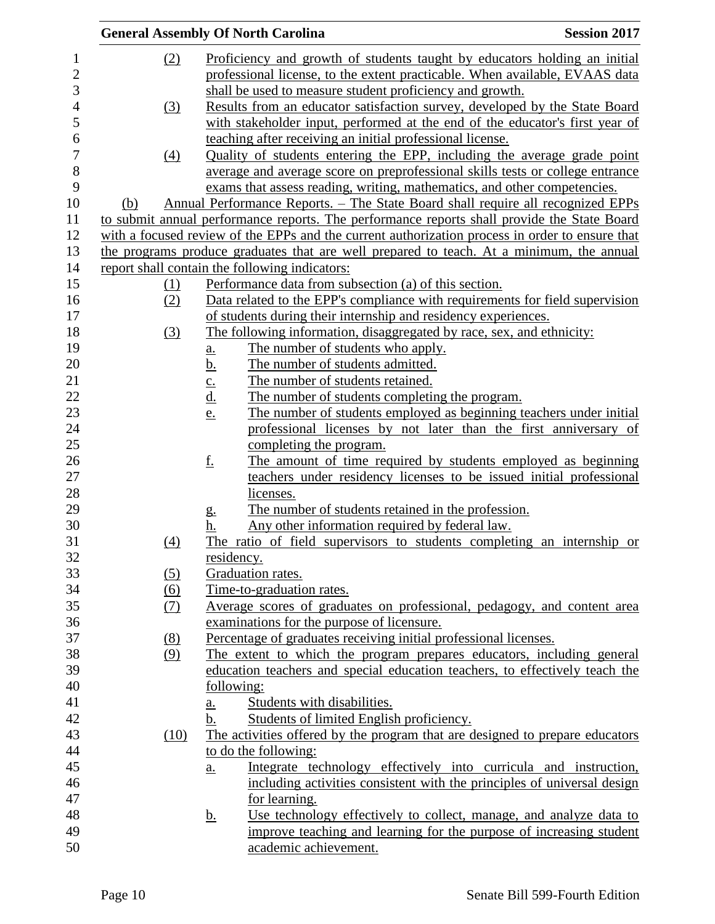|                |                   |                   | <b>General Assembly Of North Carolina</b>                                                                                                 | <b>Session 2017</b> |
|----------------|-------------------|-------------------|-------------------------------------------------------------------------------------------------------------------------------------------|---------------------|
| $\mathbf{1}$   | (2)               |                   | Proficiency and growth of students taught by educators holding an initial                                                                 |                     |
| $\overline{c}$ |                   |                   | professional license, to the extent practicable. When available, EVAAS data                                                               |                     |
| 3              |                   |                   | shall be used to measure student proficiency and growth.                                                                                  |                     |
| $\overline{4}$ | (3)               |                   | Results from an educator satisfaction survey, developed by the State Board                                                                |                     |
| 5              |                   |                   | with stakeholder input, performed at the end of the educator's first year of                                                              |                     |
| 6              |                   |                   | teaching after receiving an initial professional license.                                                                                 |                     |
| $\overline{7}$ | $\underline{(4)}$ |                   | Quality of students entering the EPP, including the average grade point                                                                   |                     |
| 8              |                   |                   | average and average score on preprofessional skills tests or college entrance                                                             |                     |
| 9              |                   |                   | exams that assess reading, writing, mathematics, and other competencies.                                                                  |                     |
| 10             | (b)               |                   | Annual Performance Reports. – The State Board shall require all recognized EPPs                                                           |                     |
| 11             |                   |                   | to submit annual performance reports. The performance reports shall provide the State Board                                               |                     |
| 12             |                   |                   | with a focused review of the EPPs and the current authorization process in order to ensure that                                           |                     |
| 13             |                   |                   | the programs produce graduates that are well prepared to teach. At a minimum, the annual                                                  |                     |
| 14             |                   |                   | report shall contain the following indicators:                                                                                            |                     |
| 15             | (1)               |                   | Performance data from subsection (a) of this section.                                                                                     |                     |
| 16             | (2)               |                   | Data related to the EPP's compliance with requirements for field supervision                                                              |                     |
| 17             |                   |                   | of students during their internship and residency experiences.                                                                            |                     |
| 18             | (3)               |                   | The following information, disaggregated by race, sex, and ethnicity:                                                                     |                     |
| 19             |                   | <u>a.</u>         | The number of students who apply.                                                                                                         |                     |
| 20             |                   | <u>b.</u>         | The number of students admitted.                                                                                                          |                     |
| 21             |                   |                   | The number of students retained.                                                                                                          |                     |
| 22             |                   | $\frac{c}{d}$     | The number of students completing the program.                                                                                            |                     |
| 23             |                   | <u>e.</u>         | The number of students employed as beginning teachers under initial                                                                       |                     |
| 24             |                   |                   | professional licenses by not later than the first anniversary of                                                                          |                     |
| 25             |                   |                   | completing the program.                                                                                                                   |                     |
| 26             |                   | <u>f.</u>         | The amount of time required by students employed as beginning                                                                             |                     |
| 27             |                   |                   | teachers under residency licenses to be issued initial professional                                                                       |                     |
| 28             |                   |                   | licenses.                                                                                                                                 |                     |
| 29             |                   | g.                | The number of students retained in the profession.                                                                                        |                     |
| 30             |                   | h.                | Any other information required by federal law.                                                                                            |                     |
| 31             | (4)               |                   | The ratio of field supervisors to students completing an internship or                                                                    |                     |
| 32             |                   |                   | <u>residency.</u>                                                                                                                         |                     |
| 33             | (5)               |                   | Graduation rates.                                                                                                                         |                     |
| 34             | (6)               |                   | Time-to-graduation rates.                                                                                                                 |                     |
| 35             | (7)               |                   | Average scores of graduates on professional, pedagogy, and content area                                                                   |                     |
| 36             |                   |                   | examinations for the purpose of licensure.                                                                                                |                     |
| 37             | (8)               |                   | Percentage of graduates receiving initial professional licenses.                                                                          |                     |
| 38             | (9)               |                   | The extent to which the program prepares educators, including general                                                                     |                     |
| 39             |                   |                   | education teachers and special education teachers, to effectively teach the                                                               |                     |
| 40             |                   |                   | following:                                                                                                                                |                     |
| 41             |                   | <u>a.</u>         | Students with disabilities.                                                                                                               |                     |
| 42             |                   | b.                | Students of limited English proficiency.                                                                                                  |                     |
| 43             | (10)              |                   | The activities offered by the program that are designed to prepare educators                                                              |                     |
| 44             |                   |                   | to do the following:                                                                                                                      |                     |
| 45             |                   | $\underline{a}$ . | Integrate technology effectively into curricula and instruction,                                                                          |                     |
| 46             |                   |                   | including activities consistent with the principles of universal design                                                                   |                     |
| 47<br>48       |                   |                   | for learning.                                                                                                                             |                     |
| 49             |                   | <u>b.</u>         | Use technology effectively to collect, manage, and analyze data to<br>improve teaching and learning for the purpose of increasing student |                     |
| 50             |                   |                   | academic achievement.                                                                                                                     |                     |
|                |                   |                   |                                                                                                                                           |                     |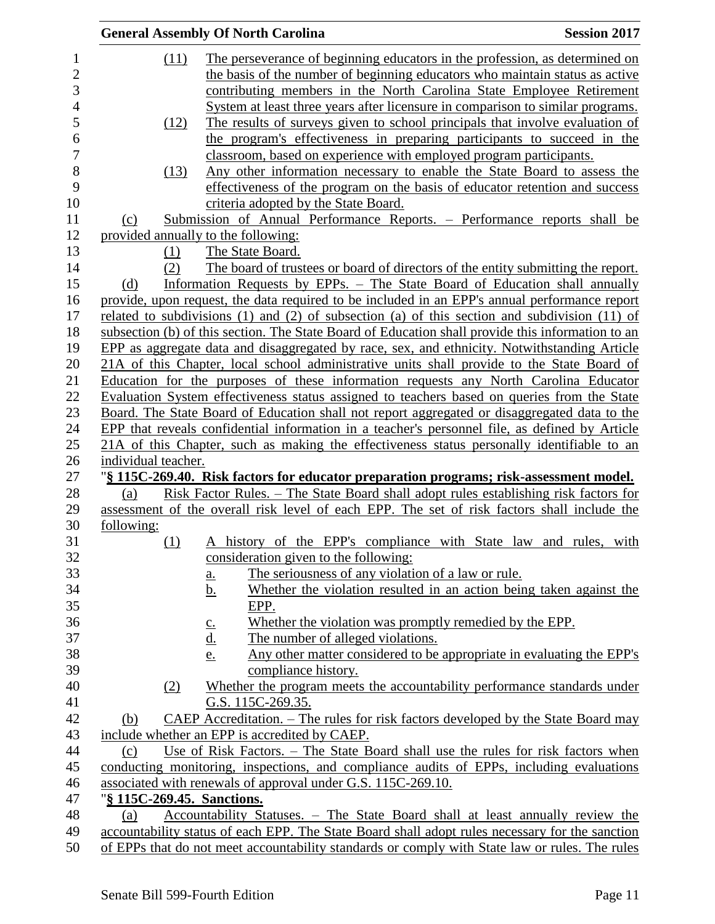|                |                                    | <b>General Assembly Of North Carolina</b>                                                                        | <b>Session 2017</b> |
|----------------|------------------------------------|------------------------------------------------------------------------------------------------------------------|---------------------|
| $\mathbf{1}$   | (11)                               | The perseverance of beginning educators in the profession, as determined on                                      |                     |
| $\overline{2}$ |                                    | the basis of the number of beginning educators who maintain status as active                                     |                     |
| 3              |                                    | contributing members in the North Carolina State Employee Retirement                                             |                     |
| $\overline{4}$ |                                    | System at least three years after licensure in comparison to similar programs.                                   |                     |
| 5              | (12)                               | The results of surveys given to school principals that involve evaluation of                                     |                     |
| 6              |                                    | the program's effectiveness in preparing participants to succeed in the                                          |                     |
| $\overline{7}$ |                                    | classroom, based on experience with employed program participants.                                               |                     |
| 8              | (13)                               | Any other information necessary to enable the State Board to assess the                                          |                     |
| 9              |                                    | effectiveness of the program on the basis of educator retention and success                                      |                     |
| 10             |                                    |                                                                                                                  |                     |
| 11             |                                    | criteria adopted by the State Board.<br>Submission of Annual Performance Reports. - Performance reports shall be |                     |
|                | (c)                                |                                                                                                                  |                     |
| 12             |                                    | provided annually to the following:                                                                              |                     |
| 13             | (1)                                | The State Board.                                                                                                 |                     |
| 14             | (2)                                | The board of trustees or board of directors of the entity submitting the report.                                 |                     |
| 15             | (d)                                | Information Requests by EPPs. - The State Board of Education shall annually                                      |                     |
| 16             |                                    | provide, upon request, the data required to be included in an EPP's annual performance report                    |                     |
| 17             |                                    | related to subdivisions (1) and (2) of subsection (a) of this section and subdivision (11) of                    |                     |
| 18             |                                    | subsection (b) of this section. The State Board of Education shall provide this information to an                |                     |
| 19             |                                    | EPP as aggregate data and disaggregated by race, sex, and ethnicity. Notwithstanding Article                     |                     |
| 20             |                                    | 21A of this Chapter, local school administrative units shall provide to the State Board of                       |                     |
| 21             |                                    | Education for the purposes of these information requests any North Carolina Educator                             |                     |
| 22             |                                    | Evaluation System effectiveness status assigned to teachers based on queries from the State                      |                     |
| 23             |                                    | Board. The State Board of Education shall not report aggregated or disaggregated data to the                     |                     |
| 24             |                                    | EPP that reveals confidential information in a teacher's personnel file, as defined by Article                   |                     |
| 25             |                                    | 21A of this Chapter, such as making the effectiveness status personally identifiable to an                       |                     |
| 26             | individual teacher.                |                                                                                                                  |                     |
| 27             |                                    | "§ 115C-269.40. Risk factors for educator preparation programs; risk-assessment model.                           |                     |
| 28             | (a)                                | <u> Risk Factor Rules. – The State Board shall adopt rules establishing risk factors for</u>                     |                     |
| 29             |                                    | assessment of the overall risk level of each EPP. The set of risk factors shall include the                      |                     |
| 30             | following:                         |                                                                                                                  |                     |
| 31             | (1)                                | A history of the EPP's compliance with State law and rules, with                                                 |                     |
| 32             |                                    | consideration given to the following:                                                                            |                     |
| 33             |                                    | The seriousness of any violation of a law or rule.<br><u>a.</u>                                                  |                     |
| 34             |                                    | Whether the violation resulted in an action being taken against the<br><u>b.</u>                                 |                     |
| 35             |                                    | EPP.                                                                                                             |                     |
| 36             |                                    | Whether the violation was promptly remedied by the EPP.<br>$\underline{\underline{c}}$ .                         |                     |
| 37             |                                    | <u>d.</u><br>The number of alleged violations.                                                                   |                     |
| 38             |                                    | Any other matter considered to be appropriate in evaluating the EPP's<br><u>e.</u>                               |                     |
| 39             |                                    | compliance history.                                                                                              |                     |
| 40             | (2)                                | Whether the program meets the accountability performance standards under                                         |                     |
| 41             |                                    | G.S. 115C-269.35.                                                                                                |                     |
| 42             | (b)                                | <u>CAEP Accreditation. – The rules for risk factors developed by the State Board may</u>                         |                     |
| 43             |                                    | include whether an EPP is accredited by CAEP.                                                                    |                     |
| 44             | (c)                                | Use of Risk Factors. – The State Board shall use the rules for risk factors when                                 |                     |
| 45             |                                    | conducting monitoring, inspections, and compliance audits of EPPs, including evaluations                         |                     |
| 46             |                                    | associated with renewals of approval under G.S. 115C-269.10.                                                     |                     |
| 47             | " <u>§ 115C-269.45. Sanctions.</u> |                                                                                                                  |                     |
| 48             | (a)                                | Accountability Statuses. – The State Board shall at least annually review the                                    |                     |
| 49             |                                    | accountability status of each EPP. The State Board shall adopt rules necessary for the sanction                  |                     |
| 50             |                                    | of EPPs that do not meet accountability standards or comply with State law or rules. The rules                   |                     |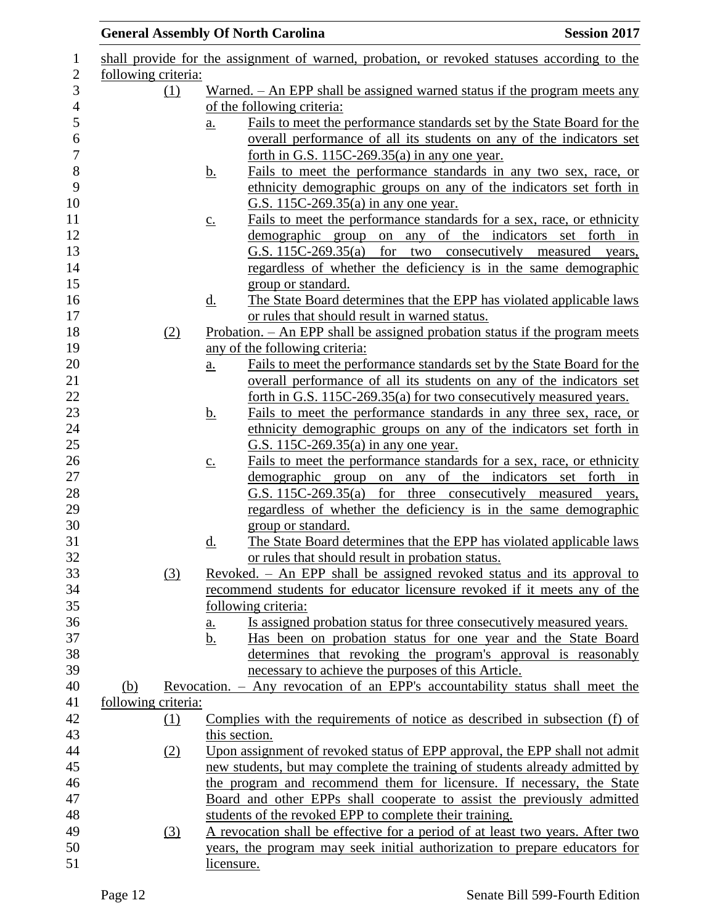|                     |                     |                   | <b>General Assembly Of North Carolina</b>                                                                                                                   | <b>Session 2017</b>         |
|---------------------|---------------------|-------------------|-------------------------------------------------------------------------------------------------------------------------------------------------------------|-----------------------------|
|                     |                     |                   | shall provide for the assignment of warned, probation, or revoked statuses according to the                                                                 |                             |
| following criteria: |                     |                   |                                                                                                                                                             |                             |
|                     | (1)                 |                   | Warned. $-$ An EPP shall be assigned warned status if the program meets any                                                                                 |                             |
|                     |                     |                   | of the following criteria:                                                                                                                                  |                             |
|                     |                     | $\underline{a}$ . | Fails to meet the performance standards set by the State Board for the                                                                                      |                             |
|                     |                     |                   | overall performance of all its students on any of the indicators set                                                                                        |                             |
|                     |                     |                   | forth in G.S. $115C-269.35(a)$ in any one year.                                                                                                             |                             |
|                     |                     | <u>b.</u>         | Fails to meet the performance standards in any two sex, race, or                                                                                            |                             |
|                     |                     |                   | ethnicity demographic groups on any of the indicators set forth in<br>G.S. 115C-269.35(a) in any one year.                                                  |                             |
|                     |                     | $\underline{C}$ . | Fails to meet the performance standards for a sex, race, or ethnicity                                                                                       |                             |
|                     |                     |                   | demographic group on any of                                                                                                                                 | the indicators set forth in |
|                     |                     |                   | G.S. 115C-269.35(a) for two consecutively measured years,                                                                                                   |                             |
|                     |                     |                   | regardless of whether the deficiency is in the same demographic                                                                                             |                             |
|                     |                     |                   | group or standard.                                                                                                                                          |                             |
|                     |                     | <u>d.</u>         | The State Board determines that the EPP has violated applicable laws                                                                                        |                             |
|                     |                     |                   | or rules that should result in warned status.                                                                                                               |                             |
|                     | (2)                 |                   | Probation. - An EPP shall be assigned probation status if the program meets                                                                                 |                             |
|                     |                     |                   | any of the following criteria:                                                                                                                              |                             |
|                     |                     | $\underline{a}$ . | Fails to meet the performance standards set by the State Board for the                                                                                      |                             |
|                     |                     |                   | overall performance of all its students on any of the indicators set                                                                                        |                             |
|                     |                     |                   | forth in G.S. 115C-269.35(a) for two consecutively measured years.                                                                                          |                             |
|                     |                     | <u>b.</u>         | Fails to meet the performance standards in any three sex, race, or                                                                                          |                             |
|                     |                     |                   | ethnicity demographic groups on any of the indicators set forth in                                                                                          |                             |
|                     |                     |                   | G.S. 115C-269.35(a) in any one year.                                                                                                                        |                             |
|                     |                     | $\underline{c}$ . | Fails to meet the performance standards for a sex, race, or ethnicity                                                                                       |                             |
|                     |                     |                   | demographic group on any of the indicators set forth in                                                                                                     |                             |
|                     |                     |                   | G.S. 115C-269.35(a) for three consecutively measured years,                                                                                                 |                             |
|                     |                     |                   | regardless of whether the deficiency is in the same demographic                                                                                             |                             |
|                     |                     |                   | group or standard.                                                                                                                                          |                             |
|                     |                     | d.                | The State Board determines that the EPP has violated applicable laws                                                                                        |                             |
|                     |                     |                   | or rules that should result in probation status.                                                                                                            |                             |
|                     | (3)                 |                   | Revoked. - An EPP shall be assigned revoked status and its approval to                                                                                      |                             |
|                     |                     |                   | recommend students for educator licensure revoked if it meets any of the                                                                                    |                             |
|                     |                     |                   | following criteria:                                                                                                                                         |                             |
|                     |                     | <u>a.</u>         | Is assigned probation status for three consecutively measured years.                                                                                        |                             |
|                     |                     | b.                | Has been on probation status for one year and the State Board                                                                                               |                             |
|                     |                     |                   | determines that revoking the program's approval is reasonably                                                                                               |                             |
|                     |                     |                   | necessary to achieve the purposes of this Article.                                                                                                          |                             |
| (b)                 |                     |                   | Revocation. - Any revocation of an EPP's accountability status shall meet the                                                                               |                             |
|                     | following criteria: |                   |                                                                                                                                                             |                             |
|                     | (1)                 |                   | Complies with the requirements of notice as described in subsection (f) of                                                                                  |                             |
|                     |                     |                   | this section.                                                                                                                                               |                             |
|                     | (2)                 |                   | Upon assignment of revoked status of EPP approval, the EPP shall not admit                                                                                  |                             |
|                     |                     |                   | new students, but may complete the training of students already admitted by                                                                                 |                             |
|                     |                     |                   | the program and recommend them for licensure. If necessary, the State                                                                                       |                             |
|                     |                     |                   | Board and other EPPs shall cooperate to assist the previously admitted                                                                                      |                             |
|                     |                     |                   | students of the revoked EPP to complete their training.                                                                                                     |                             |
|                     | (3)                 |                   | A revocation shall be effective for a period of at least two years. After two<br>years, the program may seek initial authorization to prepare educators for |                             |
|                     |                     |                   | licensure.                                                                                                                                                  |                             |
|                     |                     |                   |                                                                                                                                                             |                             |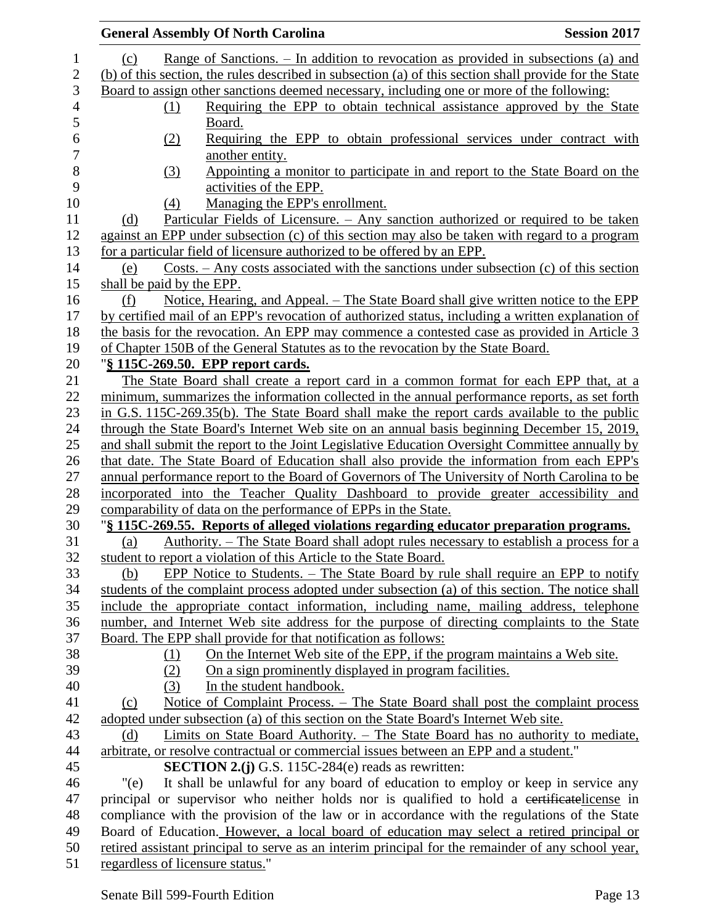|                                  | <b>General Assembly Of North Carolina</b>                                                              | <b>Session 2017</b> |
|----------------------------------|--------------------------------------------------------------------------------------------------------|---------------------|
| (c)                              | Range of Sanctions. – In addition to revocation as provided in subsections (a) and                     |                     |
|                                  | (b) of this section, the rules described in subsection (a) of this section shall provide for the State |                     |
|                                  | Board to assign other sanctions deemed necessary, including one or more of the following:              |                     |
| (1)                              | Requiring the EPP to obtain technical assistance approved by the State                                 |                     |
|                                  | Board.                                                                                                 |                     |
| (2)                              | Requiring the EPP to obtain professional services under contract with                                  |                     |
|                                  | another entity.                                                                                        |                     |
| (3)                              | Appointing a monitor to participate in and report to the State Board on the                            |                     |
|                                  | activities of the EPP.                                                                                 |                     |
| (4)                              | Managing the EPP's enrollment.                                                                         |                     |
| (d)                              | <u>Particular Fields of Licensure. – Any sanction authorized or required to be taken</u>               |                     |
|                                  | against an EPP under subsection (c) of this section may also be taken with regard to a program         |                     |
|                                  | for a particular field of licensure authorized to be offered by an EPP.                                |                     |
| (e)                              | Costs. – Any costs associated with the sanctions under subsection (c) of this section                  |                     |
| shall be paid by the EPP.        |                                                                                                        |                     |
| (f)                              | Notice, Hearing, and Appeal. – The State Board shall give written notice to the EPP                    |                     |
|                                  | by certified mail of an EPP's revocation of authorized status, including a written explanation of      |                     |
|                                  | the basis for the revocation. An EPP may commence a contested case as provided in Article 3            |                     |
|                                  | of Chapter 150B of the General Statutes as to the revocation by the State Board.                       |                     |
|                                  | "§ 115C-269.50. EPP report cards.                                                                      |                     |
|                                  | The State Board shall create a report card in a common format for each EPP that, at a                  |                     |
|                                  | minimum, summarizes the information collected in the annual performance reports, as set forth          |                     |
|                                  | in G.S. 115C-269.35(b). The State Board shall make the report cards available to the public            |                     |
|                                  | through the State Board's Internet Web site on an annual basis beginning December 15, 2019,            |                     |
|                                  | and shall submit the report to the Joint Legislative Education Oversight Committee annually by         |                     |
|                                  | that date. The State Board of Education shall also provide the information from each EPP's             |                     |
|                                  | annual performance report to the Board of Governors of The University of North Carolina to be          |                     |
|                                  | incorporated into the Teacher Quality Dashboard to provide greater accessibility and                   |                     |
|                                  | comparability of data on the performance of EPPs in the State.                                         |                     |
|                                  | "§ 115C-269.55. Reports of alleged violations regarding educator preparation programs.                 |                     |
| (a)                              | Authority. – The State Board shall adopt rules necessary to establish a process for a                  |                     |
|                                  | student to report a violation of this Article to the State Board.                                      |                     |
| (b)                              | EPP Notice to Students. – The State Board by rule shall require an EPP to notify                       |                     |
|                                  | students of the complaint process adopted under subsection (a) of this section. The notice shall       |                     |
|                                  | include the appropriate contact information, including name, mailing address, telephone                |                     |
|                                  | number, and Internet Web site address for the purpose of directing complaints to the State             |                     |
|                                  | Board. The EPP shall provide for that notification as follows:                                         |                     |
| (1)                              | On the Internet Web site of the EPP, if the program maintains a Web site.                              |                     |
| (2)                              | On a sign prominently displayed in program facilities.                                                 |                     |
| (3)                              | In the student handbook.                                                                               |                     |
| (c)                              | Notice of Complaint Process. - The State Board shall post the complaint process                        |                     |
|                                  | adopted under subsection (a) of this section on the State Board's Internet Web site.                   |                     |
| (d)                              | <u>Limits on State Board Authority. – The State Board has no authority to mediate,</u>                 |                     |
|                                  | arbitrate, or resolve contractual or commercial issues between an EPP and a student."                  |                     |
|                                  | <b>SECTION 2.(j)</b> G.S. 115C-284(e) reads as rewritten:                                              |                     |
| "(e)                             | It shall be unlawful for any board of education to employ or keep in service any                       |                     |
|                                  | principal or supervisor who neither holds nor is qualified to hold a certificate license in            |                     |
|                                  | compliance with the provision of the law or in accordance with the regulations of the State            |                     |
|                                  | Board of Education. However, a local board of education may select a retired principal or              |                     |
|                                  | retired assistant principal to serve as an interim principal for the remainder of any school year,     |                     |
| regardless of licensure status." |                                                                                                        |                     |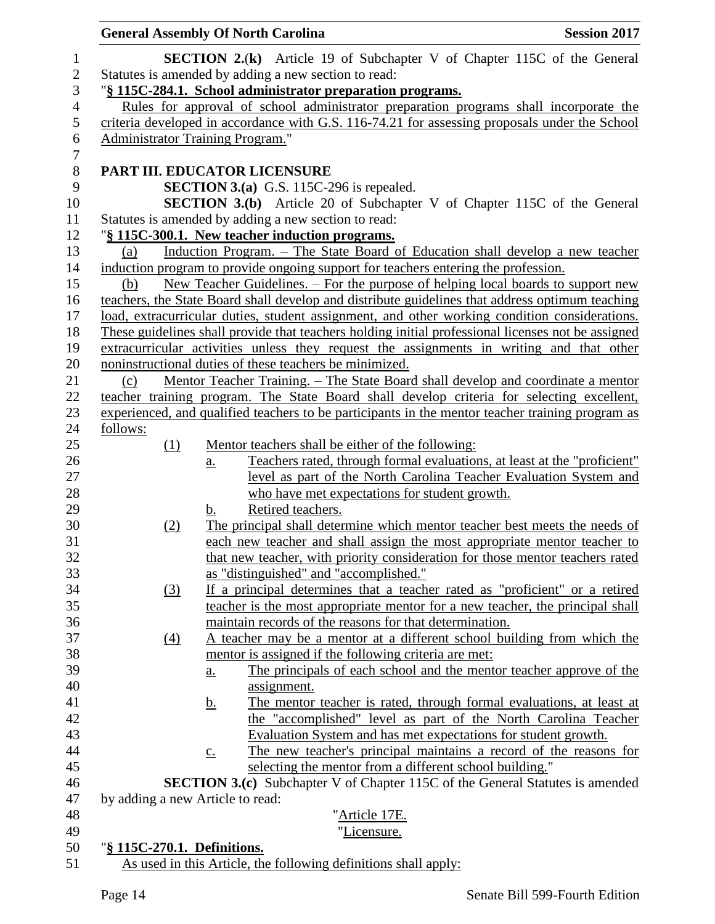|                | <b>General Assembly Of North Carolina</b>               |                                                                                                                                                 | <b>Session 2017</b> |
|----------------|---------------------------------------------------------|-------------------------------------------------------------------------------------------------------------------------------------------------|---------------------|
| 1              |                                                         | <b>SECTION 2.(k)</b> Article 19 of Subchapter V of Chapter 115C of the General                                                                  |                     |
| $\sqrt{2}$     | Statutes is amended by adding a new section to read:    |                                                                                                                                                 |                     |
| 3              |                                                         | "§ 115C-284.1. School administrator preparation programs.                                                                                       |                     |
| $\overline{4}$ |                                                         | Rules for approval of school administrator preparation programs shall incorporate the                                                           |                     |
| 5              |                                                         | criteria developed in accordance with G.S. 116-74.21 for assessing proposals under the School                                                   |                     |
| 6              | <b>Administrator Training Program."</b>                 |                                                                                                                                                 |                     |
| $\overline{7}$ |                                                         |                                                                                                                                                 |                     |
| $8\,$          | PART III. EDUCATOR LICENSURE                            |                                                                                                                                                 |                     |
| 9              |                                                         | <b>SECTION 3.(a)</b> G.S. 115C-296 is repealed.                                                                                                 |                     |
| 10             |                                                         | <b>SECTION 3.(b)</b> Article 20 of Subchapter V of Chapter 115C of the General                                                                  |                     |
| 11             | Statutes is amended by adding a new section to read:    |                                                                                                                                                 |                     |
| 12             | "§ 115C-300.1. New teacher induction programs.          |                                                                                                                                                 |                     |
| 13             | (a)                                                     | Induction Program. - The State Board of Education shall develop a new teacher                                                                   |                     |
| 14             |                                                         | induction program to provide ongoing support for teachers entering the profession.                                                              |                     |
| 15             | (b)                                                     | New Teacher Guidelines. – For the purpose of helping local boards to support new                                                                |                     |
| 16             |                                                         | teachers, the State Board shall develop and distribute guidelines that address optimum teaching                                                 |                     |
| 17             |                                                         | load, extracurricular duties, student assignment, and other working condition considerations.                                                   |                     |
| 18             |                                                         | These guidelines shall provide that teachers holding initial professional licenses not be assigned                                              |                     |
| 19             |                                                         | extracurricular activities unless they request the assignments in writing and that other                                                        |                     |
| 20             | noninstructional duties of these teachers be minimized. |                                                                                                                                                 |                     |
| 21             | (c)                                                     | <u> Mentor Teacher Training. – The State Board shall develop and coordinate a mentor</u>                                                        |                     |
| 22             |                                                         | teacher training program. The State Board shall develop criteria for selecting excellent,                                                       |                     |
| 23             |                                                         | experienced, and qualified teachers to be participants in the mentor teacher training program as                                                |                     |
| 24             | follows:                                                |                                                                                                                                                 |                     |
| 25             | (1)                                                     | Mentor teachers shall be either of the following:                                                                                               |                     |
| 26             | $\underline{a}$ .                                       | Teachers rated, through formal evaluations, at least at the "proficient"                                                                        |                     |
| 27             |                                                         | level as part of the North Carolina Teacher Evaluation System and                                                                               |                     |
| 28             |                                                         | who have met expectations for student growth.                                                                                                   |                     |
| 29             | b.                                                      | Retired teachers.                                                                                                                               |                     |
| 30             | (2)                                                     | The principal shall determine which mentor teacher best meets the needs of                                                                      |                     |
| 31             |                                                         | each new teacher and shall assign the most appropriate mentor teacher to                                                                        |                     |
| 32             |                                                         | that new teacher, with priority consideration for those mentor teachers rated                                                                   |                     |
| 33             |                                                         | as "distinguished" and "accomplished."                                                                                                          |                     |
| 34             | <u>(3)</u>                                              | If a principal determines that a teacher rated as "proficient" or a retired                                                                     |                     |
| 35             |                                                         | teacher is the most appropriate mentor for a new teacher, the principal shall                                                                   |                     |
| 36             |                                                         | maintain records of the reasons for that determination.                                                                                         |                     |
| 37             | $\underline{(4)}$                                       | A teacher may be a mentor at a different school building from which the                                                                         |                     |
| 38             |                                                         | mentor is assigned if the following criteria are met:                                                                                           |                     |
| 39             | $\underline{a}$ .                                       | The principals of each school and the mentor teacher approve of the                                                                             |                     |
| 40             |                                                         | assignment.                                                                                                                                     |                     |
| 41             | <u>b.</u>                                               | The mentor teacher is rated, through formal evaluations, at least at                                                                            |                     |
| 42             |                                                         | the "accomplished" level as part of the North Carolina Teacher                                                                                  |                     |
| 43             |                                                         | Evaluation System and has met expectations for student growth.                                                                                  |                     |
| 44<br>45       | $\underline{c}$ .                                       | The new teacher's principal maintains a record of the reasons for                                                                               |                     |
| 46             |                                                         | selecting the mentor from a different school building."<br><b>SECTION 3.(c)</b> Subchapter V of Chapter 115C of the General Statutes is amended |                     |
|                |                                                         |                                                                                                                                                 |                     |
| 47<br>48       | by adding a new Article to read:                        |                                                                                                                                                 |                     |
| 49             |                                                         | " <u>Article 17E.</u><br>"Licensure.                                                                                                            |                     |
| 50             | "§ 115C-270.1. Definitions.                             |                                                                                                                                                 |                     |
| 51             |                                                         | As used in this Article, the following definitions shall apply:                                                                                 |                     |
|                |                                                         |                                                                                                                                                 |                     |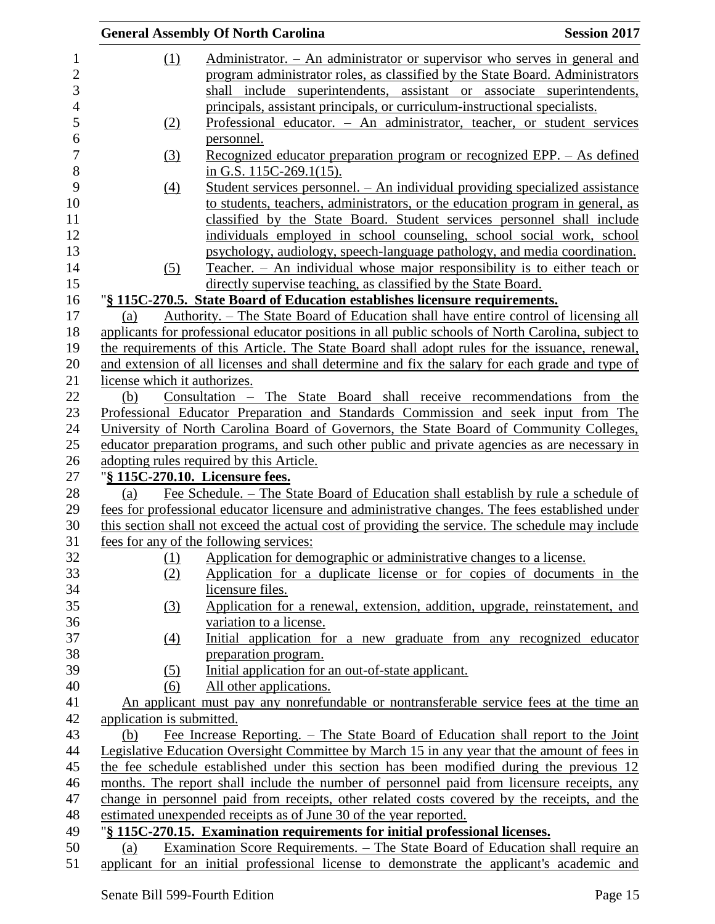|     |                              | <b>General Assembly Of North Carolina</b>                                                          | <b>Session 2017</b> |
|-----|------------------------------|----------------------------------------------------------------------------------------------------|---------------------|
|     | (1)                          | Administrator. - An administrator or supervisor who serves in general and                          |                     |
|     |                              | program administrator roles, as classified by the State Board. Administrators                      |                     |
|     |                              | shall include superintendents, assistant or associate superintendents,                             |                     |
|     |                              | principals, assistant principals, or curriculum-instructional specialists.                         |                     |
|     | (2)                          | Professional educator. - An administrator, teacher, or student services                            |                     |
|     |                              | <u>personnel.</u>                                                                                  |                     |
|     | $\left(3\right)$             | <u>Recognized educator preparation program or recognized EPP. – As defined</u>                     |                     |
|     |                              | in G.S. $115C-269.1(15)$ .                                                                         |                     |
|     | (4)                          | Student services personnel. - An individual providing specialized assistance                       |                     |
|     |                              | to students, teachers, administrators, or the education program in general, as                     |                     |
|     |                              | classified by the State Board. Student services personnel shall include                            |                     |
|     |                              | individuals employed in school counseling, school social work, school                              |                     |
|     |                              | psychology, audiology, speech-language pathology, and media coordination.                          |                     |
|     |                              | Teacher. - An individual whose major responsibility is to either teach or                          |                     |
|     | (5)                          |                                                                                                    |                     |
|     |                              | directly supervise teaching, as classified by the State Board.                                     |                     |
|     |                              | "§ 115C-270.5. State Board of Education establishes licensure requirements.                        |                     |
| (a) |                              | <u>Authority. – The State Board of Education shall have entire control of licensing all</u>        |                     |
|     |                              | applicants for professional educator positions in all public schools of North Carolina, subject to |                     |
|     |                              | the requirements of this Article. The State Board shall adopt rules for the issuance, renewal,     |                     |
|     |                              | and extension of all licenses and shall determine and fix the salary for each grade and type of    |                     |
|     | license which it authorizes. |                                                                                                    |                     |
| (b) |                              | Consultation - The State Board shall receive recommendations from the                              |                     |
|     |                              | Professional Educator Preparation and Standards Commission and seek input from The                 |                     |
|     |                              | University of North Carolina Board of Governors, the State Board of Community Colleges,            |                     |
|     |                              | educator preparation programs, and such other public and private agencies as are necessary in      |                     |
|     |                              | adopting rules required by this Article.                                                           |                     |
|     |                              | "§ 115C-270.10. Licensure fees.                                                                    |                     |
| (a) |                              | Fee Schedule. – The State Board of Education shall establish by rule a schedule of                 |                     |
|     |                              | fees for professional educator licensure and administrative changes. The fees established under    |                     |
|     |                              | this section shall not exceed the actual cost of providing the service. The schedule may include   |                     |
|     |                              | fees for any of the following services:                                                            |                     |
|     | (1)                          | Application for demographic or administrative changes to a license.                                |                     |
|     | (2)                          | Application for a duplicate license or for copies of documents in the                              |                     |
|     |                              | licensure files.                                                                                   |                     |
|     | (3)                          | Application for a renewal, extension, addition, upgrade, reinstatement, and                        |                     |
|     |                              | variation to a license.                                                                            |                     |
|     | (4)                          | Initial application for a new graduate from any recognized educator                                |                     |
|     |                              | preparation program.                                                                               |                     |
|     | (5)                          | Initial application for an out-of-state applicant.                                                 |                     |
|     | (6)                          | All other applications.                                                                            |                     |
|     |                              | An applicant must pay any nonrefundable or nontransferable service fees at the time an             |                     |
|     | application is submitted.    |                                                                                                    |                     |
|     | (b)                          | Fee Increase Reporting. – The State Board of Education shall report to the Joint                   |                     |
|     |                              | Legislative Education Oversight Committee by March 15 in any year that the amount of fees in       |                     |
|     |                              | the fee schedule established under this section has been modified during the previous 12           |                     |
|     |                              | months. The report shall include the number of personnel paid from licensure receipts, any         |                     |
|     |                              | change in personnel paid from receipts, other related costs covered by the receipts, and the       |                     |
|     |                              | estimated unexpended receipts as of June 30 of the year reported.                                  |                     |
|     |                              | "§ 115C-270.15. Examination requirements for initial professional licenses.                        |                     |
| (a) |                              | Examination Score Requirements. – The State Board of Education shall require an                    |                     |
|     |                              | applicant for an initial professional license to demonstrate the applicant's academic and          |                     |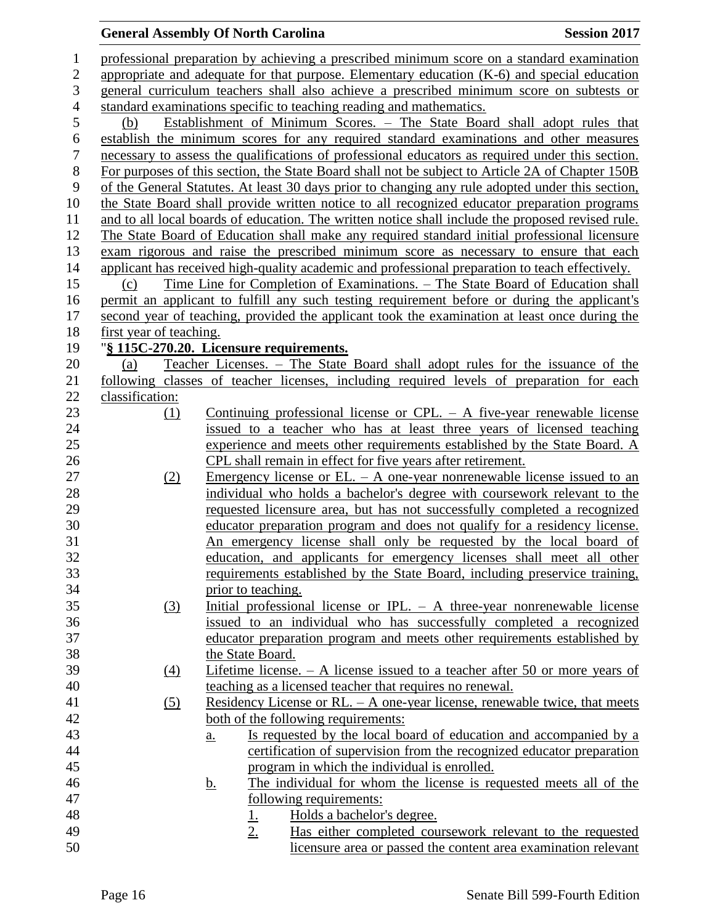# **General Assembly Of North Carolina Session 2017**

| $\mathbf{1}$     |                                                                                                                                                                                         | professional preparation by achieving a prescribed minimum score on a standard examination                               |  |  |
|------------------|-----------------------------------------------------------------------------------------------------------------------------------------------------------------------------------------|--------------------------------------------------------------------------------------------------------------------------|--|--|
| $\overline{2}$   |                                                                                                                                                                                         |                                                                                                                          |  |  |
| 3                | appropriate and adequate for that purpose. Elementary education (K-6) and special education<br>general curriculum teachers shall also achieve a prescribed minimum score on subtests or |                                                                                                                          |  |  |
| $\overline{4}$   |                                                                                                                                                                                         | standard examinations specific to teaching reading and mathematics.                                                      |  |  |
| 5                | (b)                                                                                                                                                                                     | Establishment of Minimum Scores. - The State Board shall adopt rules that                                                |  |  |
| 6                |                                                                                                                                                                                         | establish the minimum scores for any required standard examinations and other measures                                   |  |  |
| $\boldsymbol{7}$ |                                                                                                                                                                                         | necessary to assess the qualifications of professional educators as required under this section.                         |  |  |
| $8\,$            |                                                                                                                                                                                         | For purposes of this section, the State Board shall not be subject to Article 2A of Chapter 150B                         |  |  |
| 9                |                                                                                                                                                                                         | of the General Statutes. At least 30 days prior to changing any rule adopted under this section,                         |  |  |
| 10               |                                                                                                                                                                                         | the State Board shall provide written notice to all recognized educator preparation programs                             |  |  |
| 11               |                                                                                                                                                                                         | and to all local boards of education. The written notice shall include the proposed revised rule.                        |  |  |
| 12               |                                                                                                                                                                                         | The State Board of Education shall make any required standard initial professional licensure                             |  |  |
| 13               |                                                                                                                                                                                         | exam rigorous and raise the prescribed minimum score as necessary to ensure that each                                    |  |  |
| 14               |                                                                                                                                                                                         | applicant has received high-quality academic and professional preparation to teach effectively.                          |  |  |
| 15               |                                                                                                                                                                                         |                                                                                                                          |  |  |
| 16               | (c)                                                                                                                                                                                     | <u>Time Line for Completion of Examinations. – The State Board of Education shall</u>                                    |  |  |
| 17               |                                                                                                                                                                                         | permit an applicant to fulfill any such testing requirement before or during the applicant's                             |  |  |
| 18               |                                                                                                                                                                                         | second year of teaching, provided the applicant took the examination at least once during the                            |  |  |
|                  | first year of teaching.                                                                                                                                                                 |                                                                                                                          |  |  |
| 19<br>20         |                                                                                                                                                                                         | "§ 115C-270.20. Licensure requirements.<br>Teacher Licenses. - The State Board shall adopt rules for the issuance of the |  |  |
| 21               | (a)                                                                                                                                                                                     | following classes of teacher licenses, including required levels of preparation for each                                 |  |  |
| 22               | classification:                                                                                                                                                                         |                                                                                                                          |  |  |
| 23               | (1)                                                                                                                                                                                     | Continuing professional license or CPL. $-$ A five-year renewable license                                                |  |  |
| 24               |                                                                                                                                                                                         | issued to a teacher who has at least three years of licensed teaching                                                    |  |  |
| 25               |                                                                                                                                                                                         | experience and meets other requirements established by the State Board. A                                                |  |  |
| 26               |                                                                                                                                                                                         | CPL shall remain in effect for five years after retirement.                                                              |  |  |
| 27               |                                                                                                                                                                                         | <u>Emergency</u> license or EL. $-$ A one-year nonrenewable license issued to an                                         |  |  |
| 28               | (2)                                                                                                                                                                                     | individual who holds a bachelor's degree with coursework relevant to the                                                 |  |  |
| 29               |                                                                                                                                                                                         | requested licensure area, but has not successfully completed a recognized                                                |  |  |
| 30               |                                                                                                                                                                                         | educator preparation program and does not qualify for a residency license.                                               |  |  |
| 31               |                                                                                                                                                                                         | An emergency license shall only be requested by the local board of                                                       |  |  |
| 32               |                                                                                                                                                                                         | education, and applicants for emergency licenses shall meet all other                                                    |  |  |
|                  |                                                                                                                                                                                         | requirements established by the State Board, including preservice training,                                              |  |  |
| 33<br>34         |                                                                                                                                                                                         |                                                                                                                          |  |  |
| 35               |                                                                                                                                                                                         | prior to teaching.<br>Initial professional license or IPL. $-$ A three-year nonrenewable license                         |  |  |
| 36               | (3)                                                                                                                                                                                     | issued to an individual who has successfully completed a recognized                                                      |  |  |
| 37               |                                                                                                                                                                                         | educator preparation program and meets other requirements established by                                                 |  |  |
| 38               |                                                                                                                                                                                         | the State Board.                                                                                                         |  |  |
| 39               | $\left(4\right)$                                                                                                                                                                        | Lifetime license. $- A$ license issued to a teacher after 50 or more years of                                            |  |  |
| 40               |                                                                                                                                                                                         | teaching as a licensed teacher that requires no renewal.                                                                 |  |  |
| 41               | (5)                                                                                                                                                                                     | Residency License or RL. $-$ A one-year license, renewable twice, that meets                                             |  |  |
| 42               |                                                                                                                                                                                         | both of the following requirements:                                                                                      |  |  |
| 43               |                                                                                                                                                                                         | Is requested by the local board of education and accompanied by a                                                        |  |  |
| 44               |                                                                                                                                                                                         | $\underline{a}$ .<br>certification of supervision from the recognized educator preparation                               |  |  |
| 45               |                                                                                                                                                                                         |                                                                                                                          |  |  |
| 46               |                                                                                                                                                                                         | program in which the individual is enrolled.<br>The individual for whom the license is requested meets all of the        |  |  |
| 47               |                                                                                                                                                                                         | <u>b.</u><br><u>following requirements:</u>                                                                              |  |  |
| 48               |                                                                                                                                                                                         | Holds a bachelor's degree.                                                                                               |  |  |
| 49               |                                                                                                                                                                                         | <u>1.</u><br>2.<br>Has either completed coursework relevant to the requested                                             |  |  |
| 50               |                                                                                                                                                                                         | licensure area or passed the content area examination relevant                                                           |  |  |
|                  |                                                                                                                                                                                         |                                                                                                                          |  |  |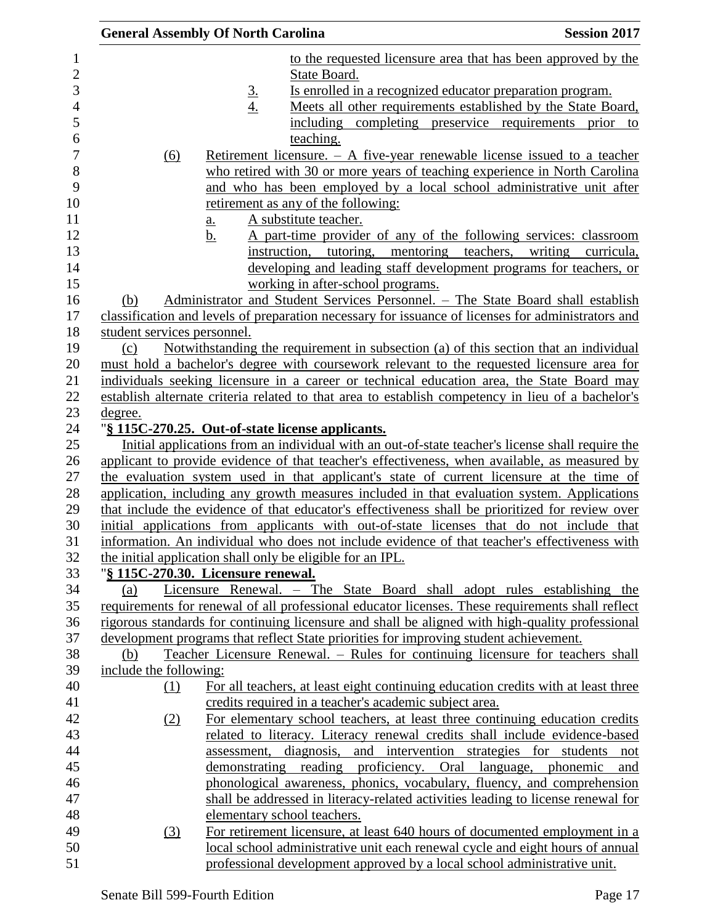|                        |          | <b>General Assembly Of North Carolina</b> |                                                                                                    | <b>Session 2017</b>                |
|------------------------|----------|-------------------------------------------|----------------------------------------------------------------------------------------------------|------------------------------------|
|                        |          |                                           | to the requested licensure area that has been approved by the                                      |                                    |
|                        |          |                                           | State Board.                                                                                       |                                    |
|                        |          |                                           | Is enrolled in a recognized educator preparation program.                                          |                                    |
|                        |          | $rac{3}{4}$                               | Meets all other requirements established by the State Board,                                       |                                    |
|                        |          |                                           | including completing preservice requirements                                                       | prior<br>to                        |
|                        |          |                                           | teaching.                                                                                          |                                    |
|                        | (6)      |                                           | Retirement licensure. $- A$ five-year renewable license issued to a teacher                        |                                    |
|                        |          |                                           | who retired with 30 or more years of teaching experience in North Carolina                         |                                    |
|                        |          |                                           | and who has been employed by a local school administrative unit after                              |                                    |
|                        |          |                                           | retirement as any of the following:                                                                |                                    |
|                        |          | $\underline{a}$ .                         | A substitute teacher.                                                                              |                                    |
|                        |          | b.                                        | A part-time provider of any of the following services: classroom                                   |                                    |
|                        |          |                                           | instruction, tutoring, mentoring                                                                   | teachers,<br>writing<br>curricula, |
|                        |          |                                           | developing and leading staff development programs for teachers, or                                 |                                    |
|                        |          |                                           | working in after-school programs.                                                                  |                                    |
| (b)                    |          |                                           | Administrator and Student Services Personnel. - The State Board shall establish                    |                                    |
|                        |          |                                           | classification and levels of preparation necessary for issuance of licenses for administrators and |                                    |
|                        |          | student services personnel.               |                                                                                                    |                                    |
| (c)                    |          |                                           | Notwithstanding the requirement in subsection (a) of this section that an individual               |                                    |
|                        |          |                                           | must hold a bachelor's degree with coursework relevant to the requested licensure area for         |                                    |
|                        |          |                                           | individuals seeking licensure in a career or technical education area, the State Board may         |                                    |
|                        |          |                                           | establish alternate criteria related to that area to establish competency in lieu of a bachelor's  |                                    |
| <u>degree.</u>         |          |                                           |                                                                                                    |                                    |
|                        |          |                                           | "§ 115C-270.25. Out-of-state license applicants.                                                   |                                    |
|                        |          |                                           | Initial applications from an individual with an out-of-state teacher's license shall require the   |                                    |
|                        |          |                                           | applicant to provide evidence of that teacher's effectiveness, when available, as measured by      |                                    |
|                        |          |                                           | the evaluation system used in that applicant's state of current licensure at the time of           |                                    |
|                        |          |                                           | application, including any growth measures included in that evaluation system. Applications        |                                    |
|                        |          |                                           | that include the evidence of that educator's effectiveness shall be prioritized for review over    |                                    |
|                        |          |                                           | initial applications from applicants with out-of-state licenses that do not include that           |                                    |
|                        |          |                                           | information. An individual who does not include evidence of that teacher's effectiveness with      |                                    |
|                        |          |                                           | the initial application shall only be eligible for an IPL.                                         |                                    |
|                        |          | "§ 115C-270.30. Licensure renewal.        |                                                                                                    |                                    |
| (a)                    |          |                                           | Licensure Renewal. - The State Board shall adopt rules establishing the                            |                                    |
|                        |          |                                           | requirements for renewal of all professional educator licenses. These requirements shall reflect   |                                    |
|                        |          |                                           | rigorous standards for continuing licensure and shall be aligned with high-quality professional    |                                    |
|                        |          |                                           | development programs that reflect State priorities for improving student achievement.              |                                    |
| (b)                    |          |                                           | Teacher Licensure Renewal. – Rules for continuing licensure for teachers shall                     |                                    |
| include the following: |          |                                           |                                                                                                    |                                    |
|                        | $\Omega$ |                                           | For all teachers, at least eight continuing education credits with at least three                  |                                    |
|                        |          |                                           | credits required in a teacher's academic subject area.                                             |                                    |
|                        | (2)      |                                           | For elementary school teachers, at least three continuing education credits                        |                                    |
|                        |          |                                           | related to literacy. Literacy renewal credits shall include evidence-based                         |                                    |
|                        |          |                                           | assessment, diagnosis, and intervention strategies for students not                                |                                    |
|                        |          |                                           | demonstrating reading proficiency. Oral language, phonemic                                         | and                                |
|                        |          |                                           | phonological awareness, phonics, vocabulary, fluency, and comprehension                            |                                    |
|                        |          |                                           | shall be addressed in literacy-related activities leading to license renewal for                   |                                    |
|                        |          |                                           | elementary school teachers.                                                                        |                                    |
|                        | (3)      |                                           | For retirement licensure, at least 640 hours of documented employment in a                         |                                    |
|                        |          |                                           | local school administrative unit each renewal cycle and eight hours of annual                      |                                    |
|                        |          |                                           | professional development approved by a local school administrative unit.                           |                                    |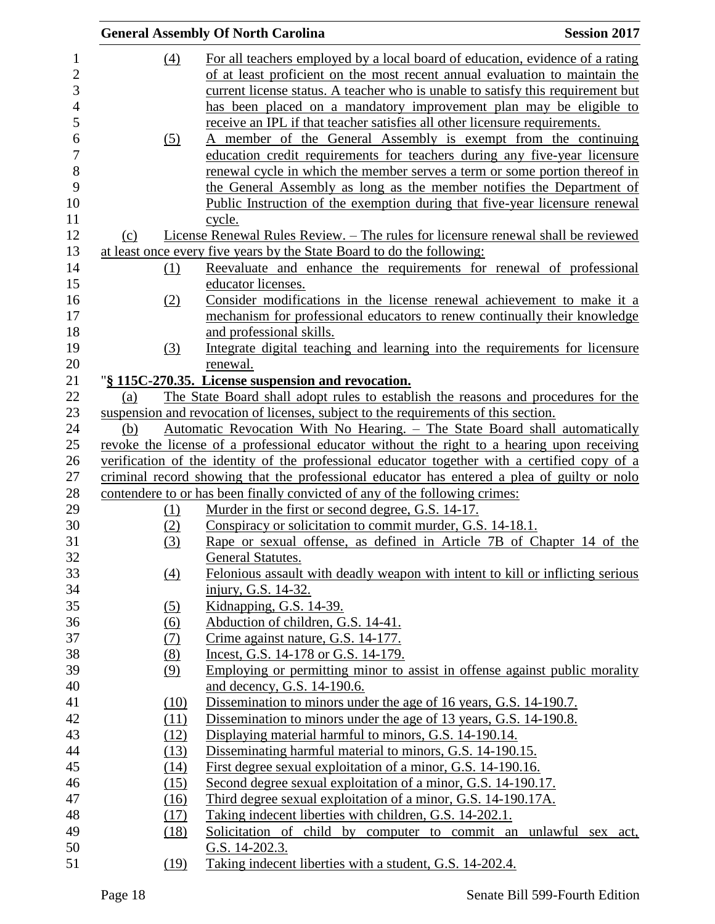|     |                   | <b>General Assembly Of North Carolina</b>                                                                                           | <b>Session 2017</b> |
|-----|-------------------|-------------------------------------------------------------------------------------------------------------------------------------|---------------------|
|     | (4)               | For all teachers employed by a local board of education, evidence of a rating                                                       |                     |
|     |                   | of at least proficient on the most recent annual evaluation to maintain the                                                         |                     |
|     |                   | current license status. A teacher who is unable to satisfy this requirement but                                                     |                     |
|     |                   | has been placed on a mandatory improvement plan may be eligible to                                                                  |                     |
|     |                   | receive an IPL if that teacher satisfies all other licensure requirements.                                                          |                     |
|     | (5)               | A member of the General Assembly is exempt from the continuing                                                                      |                     |
|     |                   | education credit requirements for teachers during any five-year licensure                                                           |                     |
|     |                   | renewal cycle in which the member serves a term or some portion thereof in                                                          |                     |
|     |                   | the General Assembly as long as the member notifies the Department of                                                               |                     |
|     |                   | Public Instruction of the exemption during that five-year licensure renewal                                                         |                     |
|     |                   | cycle.                                                                                                                              |                     |
| (c) |                   | License Renewal Rules Review. - The rules for licensure renewal shall be reviewed                                                   |                     |
|     |                   | at least once every five years by the State Board to do the following:                                                              |                     |
|     | (1)               | Reevaluate and enhance the requirements for renewal of professional                                                                 |                     |
|     |                   | educator licenses.                                                                                                                  |                     |
|     | (2)               | Consider modifications in the license renewal achievement to make it a                                                              |                     |
|     |                   | mechanism for professional educators to renew continually their knowledge                                                           |                     |
|     |                   | and professional skills.                                                                                                            |                     |
|     | (3)               | Integrate digital teaching and learning into the requirements for licensure                                                         |                     |
|     |                   | renewal.                                                                                                                            |                     |
|     |                   | "§ 115C-270.35. License suspension and revocation.                                                                                  |                     |
| (a) |                   | The State Board shall adopt rules to establish the reasons and procedures for the                                                   |                     |
|     |                   | suspension and revocation of licenses, subject to the requirements of this section.                                                 |                     |
| (b) |                   | Automatic Revocation With No Hearing. - The State Board shall automatically                                                         |                     |
|     |                   | revoke the license of a professional educator without the right to a hearing upon receiving                                         |                     |
|     |                   | verification of the identity of the professional educator together with a certified copy of a                                       |                     |
|     |                   | criminal record showing that the professional educator has entered a plea of guilty or nolo                                         |                     |
|     |                   | contendere to or has been finally convicted of any of the following crimes:                                                         |                     |
|     | (1)               | Murder in the first or second degree, G.S. 14-17.                                                                                   |                     |
|     | (2)               | Conspiracy or solicitation to commit murder, G.S. 14-18.1.<br>Rape or sexual offense, as defined in Article 7B of Chapter 14 of the |                     |
|     | (3)               |                                                                                                                                     |                     |
|     | $\underline{(4)}$ | General Statutes.<br>Felonious assault with deadly weapon with intent to kill or inflicting serious                                 |                     |
|     |                   | injury, G.S. 14-32.                                                                                                                 |                     |
|     | (5)               | Kidnapping, G.S. 14-39.                                                                                                             |                     |
|     | $\underline{(6)}$ | Abduction of children, G.S. 14-41.                                                                                                  |                     |
|     | (7)               | Crime against nature, G.S. 14-177.                                                                                                  |                     |
|     | (8)               | Incest, G.S. 14-178 or G.S. 14-179.                                                                                                 |                     |
|     | (9)               | Employing or permitting minor to assist in offense against public morality                                                          |                     |
|     |                   | and decency, G.S. 14-190.6.                                                                                                         |                     |
|     | (10)              | Dissemination to minors under the age of 16 years, G.S. 14-190.7.                                                                   |                     |
|     | (11)              | Dissemination to minors under the age of 13 years, G.S. 14-190.8.                                                                   |                     |
|     | (12)              | Displaying material harmful to minors, G.S. 14-190.14.                                                                              |                     |
|     | (13)              | Disseminating harmful material to minors, G.S. 14-190.15.                                                                           |                     |
|     | (14)              | First degree sexual exploitation of a minor, G.S. 14-190.16.                                                                        |                     |
|     | (15)              | Second degree sexual exploitation of a minor, G.S. 14-190.17.                                                                       |                     |
|     | (16)              | Third degree sexual exploitation of a minor, G.S. 14-190.17A.                                                                       |                     |
|     | (17)              | Taking indecent liberties with children, G.S. 14-202.1.                                                                             |                     |
|     | (18)              | Solicitation of child by computer to commit an unlawful sex act,                                                                    |                     |
|     |                   | G.S. 14-202.3.                                                                                                                      |                     |
|     | (19)              | Taking indecent liberties with a student, G.S. 14-202.4.                                                                            |                     |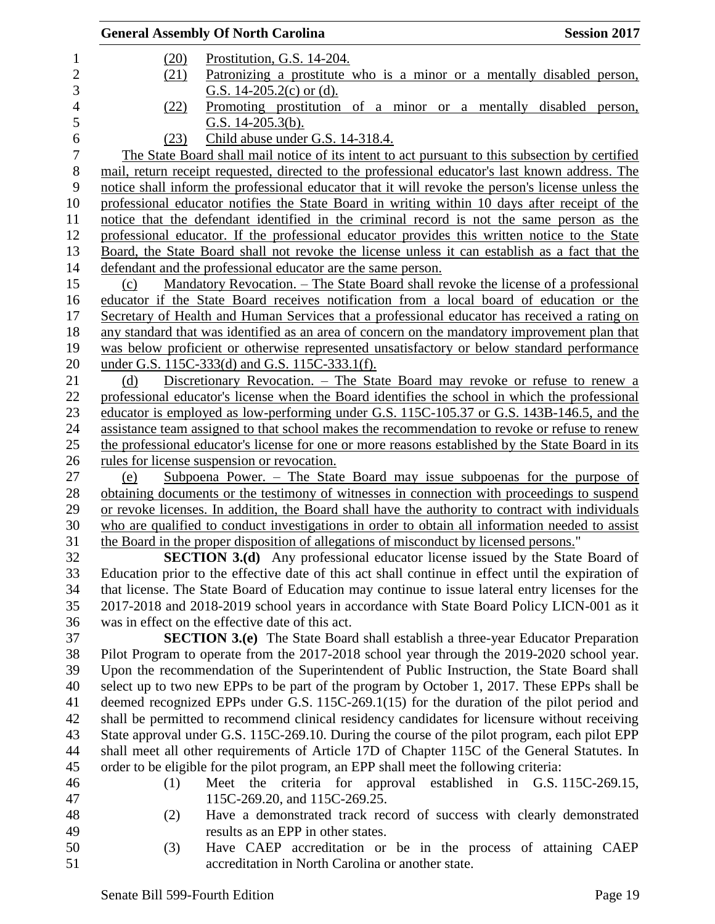|                |      | <b>General Assembly Of North Carolina</b>                                              | <b>Session 2017</b>                                                                                                                                                                      |
|----------------|------|----------------------------------------------------------------------------------------|------------------------------------------------------------------------------------------------------------------------------------------------------------------------------------------|
| 1              | (20) | Prostitution, G.S. 14-204.                                                             |                                                                                                                                                                                          |
| $\overline{2}$ | (21) |                                                                                        | Patronizing a prostitute who is a minor or a mentally disabled person,                                                                                                                   |
| 3              |      | G.S. $14-205.2(c)$ or (d).                                                             |                                                                                                                                                                                          |
| $\overline{4}$ | (22) |                                                                                        | Promoting prostitution of a minor or a mentally disabled person,                                                                                                                         |
| 5              |      | G.S. $14-205.3(b)$ .                                                                   |                                                                                                                                                                                          |
| 6              | (23) | Child abuse under G.S. 14-318.4.                                                       |                                                                                                                                                                                          |
| $\overline{7}$ |      |                                                                                        | The State Board shall mail notice of its intent to act pursuant to this subsection by certified                                                                                          |
| $8\,$          |      |                                                                                        | mail, return receipt requested, directed to the professional educator's last known address. The                                                                                          |
| 9              |      |                                                                                        | notice shall inform the professional educator that it will revoke the person's license unless the                                                                                        |
| 10             |      |                                                                                        | professional educator notifies the State Board in writing within 10 days after receipt of the                                                                                            |
| 11             |      |                                                                                        | notice that the defendant identified in the criminal record is not the same person as the                                                                                                |
| 12             |      |                                                                                        | professional educator. If the professional educator provides this written notice to the State                                                                                            |
| 13             |      |                                                                                        | Board, the State Board shall not revoke the license unless it can establish as a fact that the                                                                                           |
| 14             |      | defendant and the professional educator are the same person.                           |                                                                                                                                                                                          |
| 15             | (c)  |                                                                                        | Mandatory Revocation. - The State Board shall revoke the license of a professional                                                                                                       |
| 16             |      |                                                                                        | educator if the State Board receives notification from a local board of education or the                                                                                                 |
| 17             |      |                                                                                        | Secretary of Health and Human Services that a professional educator has received a rating on                                                                                             |
| 18             |      |                                                                                        | any standard that was identified as an area of concern on the mandatory improvement plan that                                                                                            |
| 19             |      |                                                                                        | was below proficient or otherwise represented unsatisfactory or below standard performance                                                                                               |
| 20             |      | under G.S. 115C-333(d) and G.S. 115C-333.1(f).                                         |                                                                                                                                                                                          |
| 21             | (d)  |                                                                                        | Discretionary Revocation. – The State Board may revoke or refuse to renew a                                                                                                              |
| 22             |      |                                                                                        | professional educator's license when the Board identifies the school in which the professional                                                                                           |
| 23             |      |                                                                                        | educator is employed as low-performing under G.S. 115C-105.37 or G.S. 143B-146.5, and the                                                                                                |
| 24             |      |                                                                                        | assistance team assigned to that school makes the recommendation to revoke or refuse to renew                                                                                            |
| 25             |      |                                                                                        | the professional educator's license for one or more reasons established by the State Board in its                                                                                        |
| 26             |      | rules for license suspension or revocation.                                            |                                                                                                                                                                                          |
| 27             | (e)  |                                                                                        | Subpoena Power. $-$ The State Board may issue subpoenas for the purpose of                                                                                                               |
| 28             |      |                                                                                        | obtaining documents or the testimony of witnesses in connection with proceedings to suspend                                                                                              |
| 29             |      |                                                                                        | or revoke licenses. In addition, the Board shall have the authority to contract with individuals                                                                                         |
| 30             |      |                                                                                        | who are qualified to conduct investigations in order to obtain all information needed to assist                                                                                          |
| 31             |      | the Board in the proper disposition of allegations of misconduct by licensed persons." |                                                                                                                                                                                          |
| 32             |      |                                                                                        | <b>SECTION 3.(d)</b> Any professional educator license issued by the State Board of                                                                                                      |
| 33             |      |                                                                                        | Education prior to the effective date of this act shall continue in effect until the expiration of                                                                                       |
| 34             |      |                                                                                        | that license. The State Board of Education may continue to issue lateral entry licenses for the                                                                                          |
| 35             |      |                                                                                        | 2017-2018 and 2018-2019 school years in accordance with State Board Policy LICN-001 as it                                                                                                |
| 36             |      | was in effect on the effective date of this act.                                       |                                                                                                                                                                                          |
| 37             |      |                                                                                        | <b>SECTION 3.(e)</b> The State Board shall establish a three-year Educator Preparation                                                                                                   |
| 38<br>39       |      |                                                                                        | Pilot Program to operate from the 2017-2018 school year through the 2019-2020 school year.<br>Upon the recommendation of the Superintendent of Public Instruction, the State Board shall |
| 40             |      |                                                                                        | select up to two new EPPs to be part of the program by October 1, 2017. These EPPs shall be                                                                                              |
| 41             |      |                                                                                        | deemed recognized EPPs under G.S. 115C-269.1(15) for the duration of the pilot period and                                                                                                |
| 42             |      |                                                                                        | shall be permitted to recommend clinical residency candidates for licensure without receiving                                                                                            |
| 43             |      |                                                                                        | State approval under G.S. 115C-269.10. During the course of the pilot program, each pilot EPP                                                                                            |
| 44             |      |                                                                                        | shall meet all other requirements of Article 17D of Chapter 115C of the General Statutes. In                                                                                             |
| 45             |      | order to be eligible for the pilot program, an EPP shall meet the following criteria:  |                                                                                                                                                                                          |
| 46             | (1)  |                                                                                        | Meet the criteria for approval established in G.S. 115C-269.15,                                                                                                                          |
| 47             |      | 115C-269.20, and 115C-269.25.                                                          |                                                                                                                                                                                          |
| 48             | (2)  |                                                                                        | Have a demonstrated track record of success with clearly demonstrated                                                                                                                    |
| 49             |      | results as an EPP in other states.                                                     |                                                                                                                                                                                          |
| 50             | (3)  |                                                                                        | Have CAEP accreditation or be in the process of attaining CAEP                                                                                                                           |
| 51             |      | accreditation in North Carolina or another state.                                      |                                                                                                                                                                                          |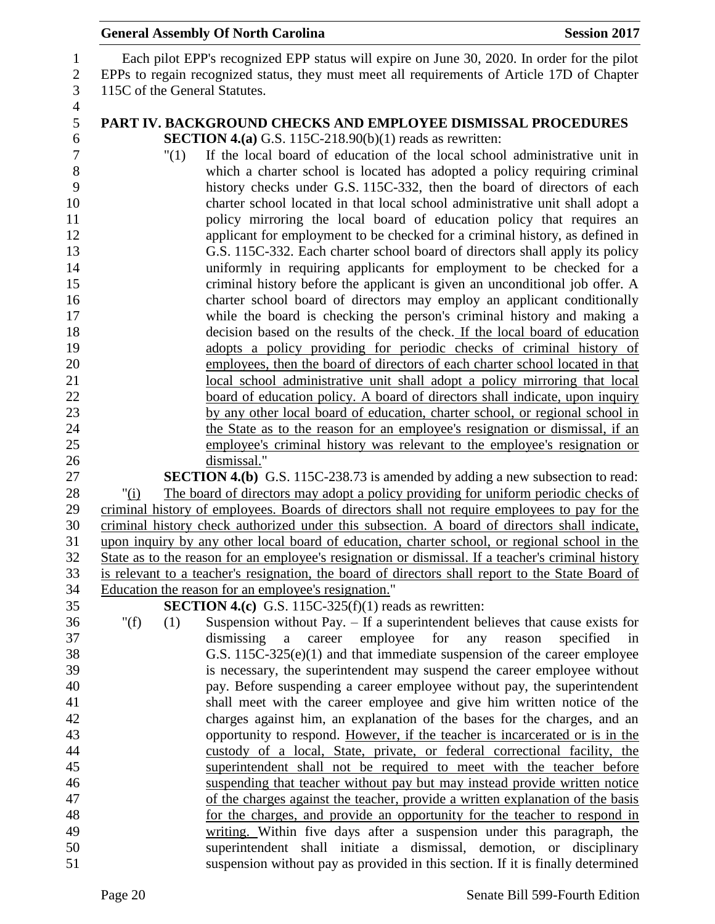|                              | <b>General Assembly Of North Carolina</b>                                                                                                                                                           | <b>Session 2017</b> |
|------------------------------|-----------------------------------------------------------------------------------------------------------------------------------------------------------------------------------------------------|---------------------|
| $\mathbf{1}$<br>$\mathbf{2}$ | Each pilot EPP's recognized EPP status will expire on June 30, 2020. In order for the pilot<br>EPPs to regain recognized status, they must meet all requirements of Article 17D of Chapter          |                     |
| $\mathfrak{Z}$               | 115C of the General Statutes.                                                                                                                                                                       |                     |
| $\overline{4}$<br>5          | PART IV. BACKGROUND CHECKS AND EMPLOYEE DISMISSAL PROCEDURES                                                                                                                                        |                     |
| 6                            | <b>SECTION 4.(a)</b> G.S. 115C-218.90(b)(1) reads as rewritten:                                                                                                                                     |                     |
| $\tau$                       | If the local board of education of the local school administrative unit in<br>"(1)                                                                                                                  |                     |
| 8                            | which a charter school is located has adopted a policy requiring criminal                                                                                                                           |                     |
| 9                            | history checks under G.S. 115C-332, then the board of directors of each                                                                                                                             |                     |
| 10                           | charter school located in that local school administrative unit shall adopt a                                                                                                                       |                     |
| 11<br>12                     | policy mirroring the local board of education policy that requires an<br>applicant for employment to be checked for a criminal history, as defined in                                               |                     |
| 13                           | G.S. 115C-332. Each charter school board of directors shall apply its policy                                                                                                                        |                     |
| 14                           | uniformly in requiring applicants for employment to be checked for a                                                                                                                                |                     |
| 15                           | criminal history before the applicant is given an unconditional job offer. A                                                                                                                        |                     |
| 16                           | charter school board of directors may employ an applicant conditionally                                                                                                                             |                     |
| 17                           | while the board is checking the person's criminal history and making a                                                                                                                              |                     |
| 18                           | decision based on the results of the check. If the local board of education                                                                                                                         |                     |
| 19                           | adopts a policy providing for periodic checks of criminal history of                                                                                                                                |                     |
| 20                           | employees, then the board of directors of each charter school located in that                                                                                                                       |                     |
| 21<br>22                     | local school administrative unit shall adopt a policy mirroring that local<br>board of education policy. A board of directors shall indicate, upon inquiry                                          |                     |
| 23                           | by any other local board of education, charter school, or regional school in                                                                                                                        |                     |
| 24                           | the State as to the reason for an employee's resignation or dismissal, if an                                                                                                                        |                     |
| 25                           | employee's criminal history was relevant to the employee's resignation or                                                                                                                           |                     |
| 26                           | dismissal."                                                                                                                                                                                         |                     |
| 27                           | <b>SECTION 4.(b)</b> G.S. 115C-238.73 is amended by adding a new subsection to read:                                                                                                                |                     |
| 28                           | The board of directors may adopt a policy providing for uniform periodic checks of<br>"(i)                                                                                                          |                     |
| 29                           | criminal history of employees. Boards of directors shall not require employees to pay for the                                                                                                       |                     |
| 30                           | criminal history check authorized under this subsection. A board of directors shall indicate,                                                                                                       |                     |
| 31<br>32                     | upon inquiry by any other local board of education, charter school, or regional school in the<br>State as to the reason for an employee's resignation or dismissal. If a teacher's criminal history |                     |
| 33                           | is relevant to a teacher's resignation, the board of directors shall report to the State Board of                                                                                                   |                     |
| 34                           | Education the reason for an employee's resignation."                                                                                                                                                |                     |
| 35                           | <b>SECTION 4.(c)</b> G.S. 115C-325(f)(1) reads as rewritten:                                                                                                                                        |                     |
| 36                           | " $(f)$<br>Suspension without Pay. - If a superintendent believes that cause exists for<br>(1)                                                                                                      |                     |
| 37                           | employee<br>for<br>dismissing<br>career<br>$\mathbf{a}$<br>any<br>reason                                                                                                                            | specified<br>in     |
| 38                           | G.S. $115C-325(e)(1)$ and that immediate suspension of the career employee                                                                                                                          |                     |
| 39                           | is necessary, the superintendent may suspend the career employee without                                                                                                                            |                     |
| 40<br>41                     | pay. Before suspending a career employee without pay, the superintendent<br>shall meet with the career employee and give him written notice of the                                                  |                     |
| 42                           | charges against him, an explanation of the bases for the charges, and an                                                                                                                            |                     |
| 43                           | opportunity to respond. However, if the teacher is incarcerated or is in the                                                                                                                        |                     |
| 44                           | custody of a local, State, private, or federal correctional facility, the                                                                                                                           |                     |
| 45                           | superintendent shall not be required to meet with the teacher before                                                                                                                                |                     |
| 46                           | suspending that teacher without pay but may instead provide written notice                                                                                                                          |                     |
| 47                           | of the charges against the teacher, provide a written explanation of the basis                                                                                                                      |                     |
| 48                           | for the charges, and provide an opportunity for the teacher to respond in                                                                                                                           |                     |
| 49                           | writing. Within five days after a suspension under this paragraph, the                                                                                                                              |                     |
| 50                           | superintendent shall initiate a dismissal, demotion, or disciplinary                                                                                                                                |                     |
| 51                           | suspension without pay as provided in this section. If it is finally determined                                                                                                                     |                     |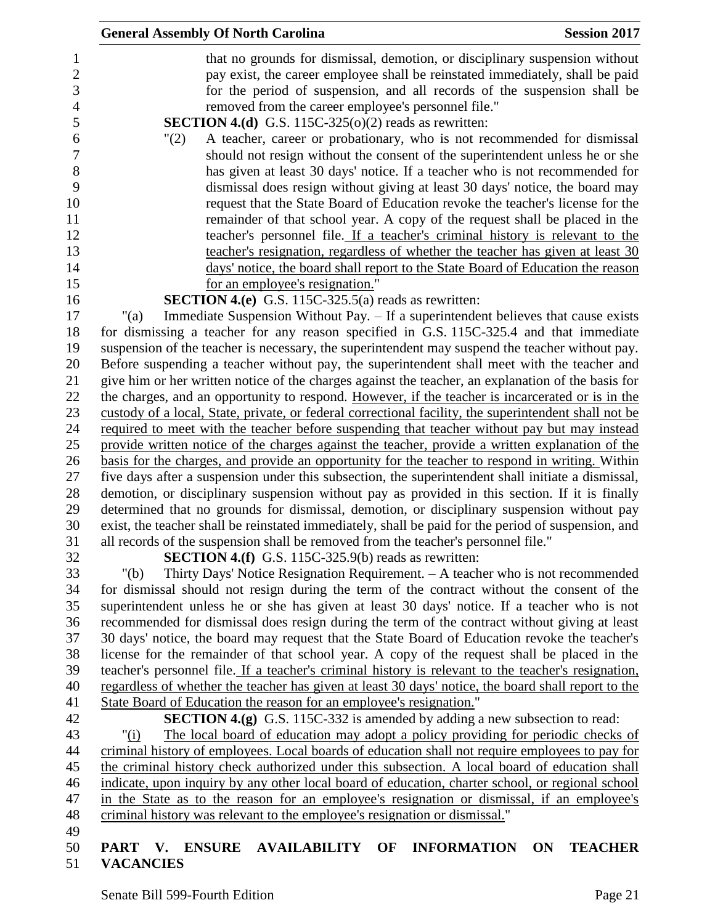|         | <b>General Assembly Of North Carolina</b>                                                             | <b>Session 2017</b>                                                        |
|---------|-------------------------------------------------------------------------------------------------------|----------------------------------------------------------------------------|
|         | that no grounds for dismissal, demotion, or disciplinary suspension without                           |                                                                            |
|         | pay exist, the career employee shall be reinstated immediately, shall be paid                         |                                                                            |
|         | for the period of suspension, and all records of the suspension shall be                              |                                                                            |
|         | removed from the career employee's personnel file."                                                   |                                                                            |
|         | <b>SECTION 4.(d)</b> G.S. 115C-325( $o(2)$ reads as rewritten:                                        |                                                                            |
| "(2)    | A teacher, career or probationary, who is not recommended for dismissal                               |                                                                            |
|         | should not resign without the consent of the superintendent unless he or she                          |                                                                            |
|         | has given at least 30 days' notice. If a teacher who is not recommended for                           |                                                                            |
|         |                                                                                                       |                                                                            |
|         | dismissal does resign without giving at least 30 days' notice, the board may                          |                                                                            |
|         | request that the State Board of Education revoke the teacher's license for the                        |                                                                            |
|         | remainder of that school year. A copy of the request shall be placed in the                           |                                                                            |
|         | teacher's personnel file. If a teacher's criminal history is relevant to the                          |                                                                            |
|         | teacher's resignation, regardless of whether the teacher has given at least 30                        |                                                                            |
|         | days' notice, the board shall report to the State Board of Education the reason                       |                                                                            |
|         | for an employee's resignation."                                                                       |                                                                            |
|         | <b>SECTION 4.(e)</b> G.S. 115C-325.5(a) reads as rewritten:                                           |                                                                            |
| " $(a)$ | Immediate Suspension Without Pay. - If a superintendent believes that cause exists                    |                                                                            |
|         | for dismissing a teacher for any reason specified in G.S. 115C-325.4 and that immediate               |                                                                            |
|         | suspension of the teacher is necessary, the superintendent may suspend the teacher without pay.       |                                                                            |
|         | Before suspending a teacher without pay, the superintendent shall meet with the teacher and           |                                                                            |
|         | give him or her written notice of the charges against the teacher, an explanation of the basis for    |                                                                            |
|         | the charges, and an opportunity to respond. However, if the teacher is incarcerated or is in the      |                                                                            |
|         | custody of a local, State, private, or federal correctional facility, the superintendent shall not be |                                                                            |
|         | required to meet with the teacher before suspending that teacher without pay but may instead          |                                                                            |
|         | provide written notice of the charges against the teacher, provide a written explanation of the       |                                                                            |
|         | basis for the charges, and provide an opportunity for the teacher to respond in writing. Within       |                                                                            |
|         | five days after a suspension under this subsection, the superintendent shall initiate a dismissal,    |                                                                            |
|         | demotion, or disciplinary suspension without pay as provided in this section. If it is finally        |                                                                            |
|         | determined that no grounds for dismissal, demotion, or disciplinary suspension without pay            |                                                                            |
|         | exist, the teacher shall be reinstated immediately, shall be paid for the period of suspension, and   |                                                                            |
|         | all records of the suspension shall be removed from the teacher's personnel file."                    |                                                                            |
|         | SECTION 4.(f) G.S. 115C-325.9(b) reads as rewritten:                                                  |                                                                            |
| " $(b)$ | Thirty Days' Notice Resignation Requirement. $-$ A teacher who is not recommended                     |                                                                            |
|         | for dismissal should not resign during the term of the contract without the consent of the            |                                                                            |
|         | superintendent unless he or she has given at least 30 days' notice. If a teacher who is not           |                                                                            |
|         | recommended for dismissal does resign during the term of the contract without giving at least         |                                                                            |
|         | 30 days' notice, the board may request that the State Board of Education revoke the teacher's         |                                                                            |
|         | license for the remainder of that school year. A copy of the request shall be placed in the           |                                                                            |
|         | teacher's personnel file. If a teacher's criminal history is relevant to the teacher's resignation,   |                                                                            |
|         | regardless of whether the teacher has given at least 30 days' notice, the board shall report to the   |                                                                            |
|         | State Board of Education the reason for an employee's resignation."                                   |                                                                            |
|         | <b>SECTION 4.(g)</b> G.S. 115C-332 is amended by adding a new subsection to read:                     |                                                                            |
| " $(i)$ | The local board of education may adopt a policy providing for periodic checks of                      |                                                                            |
|         | criminal history of employees. Local boards of education shall not require employees to pay for       |                                                                            |
|         | the criminal history check authorized under this subsection. A local board of education shall         |                                                                            |
|         | indicate, upon inquiry by any other local board of education, charter school, or regional school      |                                                                            |
|         | in the State as to the reason for an employee's resignation or dismissal, if an employee's            |                                                                            |
|         |                                                                                                       | criminal history was relevant to the employee's resignation or dismissal." |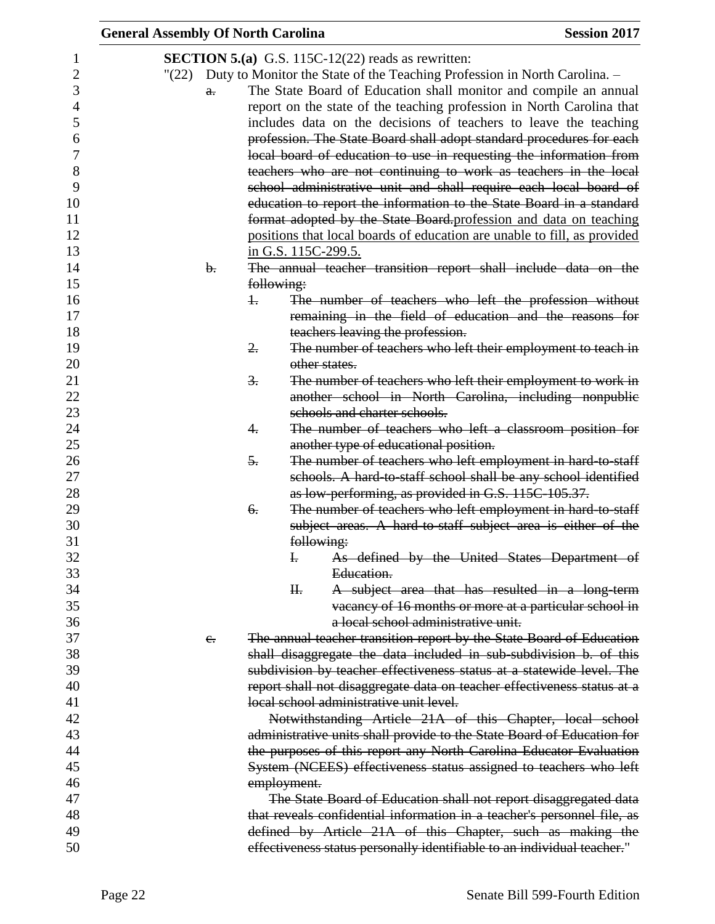| <b>General Assembly Of North Carolina</b> |                     |                                                                                 | <b>Session 2017</b> |
|-------------------------------------------|---------------------|---------------------------------------------------------------------------------|---------------------|
|                                           |                     | <b>SECTION 5.(a)</b> G.S. 115C-12(22) reads as rewritten:                       |                     |
|                                           |                     | "(22) Duty to Monitor the State of the Teaching Profession in North Carolina. - |                     |
|                                           |                     | The State Board of Education shall monitor and compile an annual                |                     |
| $a$ .                                     |                     |                                                                                 |                     |
|                                           |                     | report on the state of the teaching profession in North Carolina that           |                     |
|                                           |                     | includes data on the decisions of teachers to leave the teaching                |                     |
|                                           |                     | profession. The State Board shall adopt standard procedures for each            |                     |
|                                           |                     | local board of education to use in requesting the information from              |                     |
|                                           |                     | teachers who are not continuing to work as teachers in the local                |                     |
|                                           |                     | school administrative unit and shall require each local board of                |                     |
|                                           |                     | education to report the information to the State Board in a standard            |                     |
|                                           |                     | format adopted by the State Board-profession and data on teaching               |                     |
|                                           |                     | positions that local boards of education are unable to fill, as provided        |                     |
|                                           | in G.S. 115C-299.5. |                                                                                 |                     |
| $\mathbf{b}$ .                            |                     | The annual teacher transition report shall include data on the                  |                     |
|                                           | following:          |                                                                                 |                     |
|                                           | 1.                  | The number of teachers who left the profession without                          |                     |
|                                           |                     | remaining in the field of education and the reasons for                         |                     |
|                                           |                     | teachers leaving the profession.                                                |                     |
|                                           | 2.                  | The number of teachers who left their employment to teach in                    |                     |
|                                           |                     | other states.                                                                   |                     |
|                                           | З.                  | The number of teachers who left their employment to work in                     |                     |
|                                           |                     | another school in North Carolina, including nonpublic                           |                     |
|                                           |                     | schools and charter schools.                                                    |                     |
|                                           | 4.                  | The number of teachers who left a classroom position for                        |                     |
|                                           |                     | another type of educational position.                                           |                     |
|                                           | 5.                  | The number of teachers who left employment in hard to staff                     |                     |
|                                           |                     | schools. A hard-to-staff school shall be any school identified                  |                     |
|                                           |                     | as low-performing, as provided in G.S. 115C-105.37.                             |                     |
|                                           | 6.                  | The number of teachers who left employment in hard-to-staff                     |                     |
|                                           |                     | subject areas. A hard to staff subject area is either of the                    |                     |
|                                           |                     | following:                                                                      |                     |
|                                           | $\mathbf{H}$        | As defined by the United States Department of                                   |                     |
|                                           |                     | Education.                                                                      |                     |
|                                           | H <sub>r</sub>      | A subject area that has resulted in a long-term                                 |                     |
|                                           |                     | vacancy of 16 months or more at a particular school in                          |                     |
|                                           |                     | a local school administrative unit.                                             |                     |
| e.                                        |                     | The annual teacher transition report by the State Board of Education            |                     |
|                                           |                     | shall disaggregate the data included in sub-subdivision b. of this              |                     |
|                                           |                     | subdivision by teacher effectiveness status at a statewide level. The           |                     |
|                                           |                     | report shall not disaggregate data on teacher effectiveness status at a         |                     |
|                                           |                     | local school administrative unit level.                                         |                     |
|                                           |                     | Notwithstanding Article 21A of this Chapter, local school                       |                     |
|                                           |                     | administrative units shall provide to the State Board of Education for          |                     |
|                                           |                     | the purposes of this report any North Carolina Educator Evaluation              |                     |
|                                           |                     | System (NCEES) effectiveness status assigned to teachers who left               |                     |
|                                           | employment.         |                                                                                 |                     |
|                                           |                     | The State Board of Education shall not report disaggregated data                |                     |
|                                           |                     | that reveals confidential information in a teacher's personnel file, as         |                     |
|                                           |                     | defined by Article 21A of this Chapter, such as making the                      |                     |
|                                           |                     | effectiveness status personally identifiable to an individual teacher."         |                     |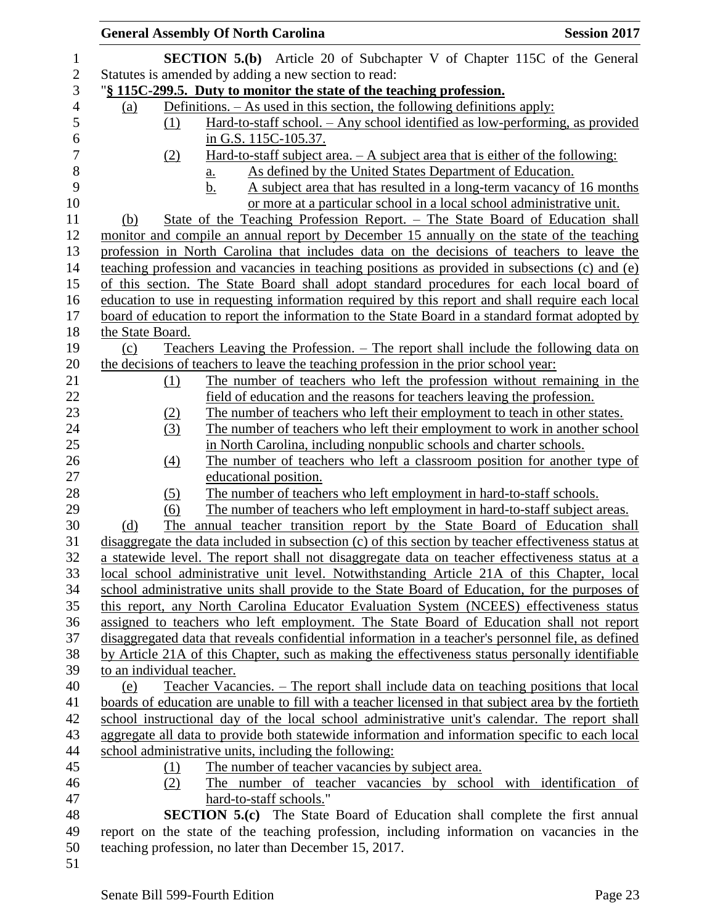| <b>General Assembly Of North Carolina</b>                                                                                                                                                     | <b>Session 2017</b> |
|-----------------------------------------------------------------------------------------------------------------------------------------------------------------------------------------------|---------------------|
| <b>SECTION 5.(b)</b> Article 20 of Subchapter V of Chapter 115C of the General                                                                                                                |                     |
| Statutes is amended by adding a new section to read:                                                                                                                                          |                     |
| "\\$\\ 115C-299.5. Duty to monitor the state of the teaching profession.                                                                                                                      |                     |
| Definitions. $-$ As used in this section, the following definitions apply:<br>(a)                                                                                                             |                     |
| Hard-to-staff school. - Any school identified as low-performing, as provided<br>(1)                                                                                                           |                     |
| in G.S. 115C-105.37.                                                                                                                                                                          |                     |
| <u>Hard-to-staff subject area. <math>-A</math> subject area that is either of the following:</u><br>(2)                                                                                       |                     |
| As defined by the United States Department of Education.<br><u>a.</u>                                                                                                                         |                     |
| A subject area that has resulted in a long-term vacancy of 16 months<br>b.                                                                                                                    |                     |
| or more at a particular school in a local school administrative unit.                                                                                                                         |                     |
| State of the Teaching Profession Report. – The State Board of Education shall<br>(b)                                                                                                          |                     |
| monitor and compile an annual report by December 15 annually on the state of the teaching                                                                                                     |                     |
| profession in North Carolina that includes data on the decisions of teachers to leave the                                                                                                     |                     |
| teaching profession and vacancies in teaching positions as provided in subsections (c) and (e)                                                                                                |                     |
| of this section. The State Board shall adopt standard procedures for each local board of                                                                                                      |                     |
| education to use in requesting information required by this report and shall require each local                                                                                               |                     |
| board of education to report the information to the State Board in a standard format adopted by<br>the State Board.                                                                           |                     |
| <u>Teachers Leaving the Profession. – The report shall include the following data on</u><br>(c)                                                                                               |                     |
| the decisions of teachers to leave the teaching profession in the prior school year:                                                                                                          |                     |
| The number of teachers who left the profession without remaining in the<br><u>(1)</u>                                                                                                         |                     |
| field of education and the reasons for teachers leaving the profession.                                                                                                                       |                     |
| The number of teachers who left their employment to teach in other states.<br>(2)                                                                                                             |                     |
| (3)<br>The number of teachers who left their employment to work in another school                                                                                                             |                     |
| in North Carolina, including nonpublic schools and charter schools.                                                                                                                           |                     |
| The number of teachers who left a classroom position for another type of<br>(4)                                                                                                               |                     |
| educational position.                                                                                                                                                                         |                     |
| The number of teachers who left employment in hard-to-staff schools.<br>(5)                                                                                                                   |                     |
| The number of teachers who left employment in hard-to-staff subject areas.<br>(6)                                                                                                             |                     |
| The annual teacher transition report by the State Board of Education shall<br>(d)                                                                                                             |                     |
| disaggregate the data included in subsection (c) of this section by teacher effectiveness status at                                                                                           |                     |
| a statewide level. The report shall not disaggregate data on teacher effectiveness status at a                                                                                                |                     |
| local school administrative unit level. Notwithstanding Article 21A of this Chapter, local                                                                                                    |                     |
| school administrative units shall provide to the State Board of Education, for the purposes of                                                                                                |                     |
| this report, any North Carolina Educator Evaluation System (NCEES) effectiveness status                                                                                                       |                     |
| assigned to teachers who left employment. The State Board of Education shall not report<br>disaggregated data that reveals confidential information in a teacher's personnel file, as defined |                     |
| by Article 21A of this Chapter, such as making the effectiveness status personally identifiable                                                                                               |                     |
| to an individual teacher.                                                                                                                                                                     |                     |
| Teacher Vacancies. – The report shall include data on teaching positions that local<br>(e)                                                                                                    |                     |
| boards of education are unable to fill with a teacher licensed in that subject area by the fortieth                                                                                           |                     |
| school instructional day of the local school administrative unit's calendar. The report shall                                                                                                 |                     |
| aggregate all data to provide both statewide information and information specific to each local                                                                                               |                     |
| school administrative units, including the following:                                                                                                                                         |                     |
| The number of teacher vacancies by subject area.<br>(1)                                                                                                                                       |                     |
| The number of teacher vacancies by school with identification of<br>(2)                                                                                                                       |                     |
| hard-to-staff schools."                                                                                                                                                                       |                     |
| <b>SECTION 5.(c)</b> The State Board of Education shall complete the first annual                                                                                                             |                     |
| report on the state of the teaching profession, including information on vacancies in the                                                                                                     |                     |
| teaching profession, no later than December 15, 2017.                                                                                                                                         |                     |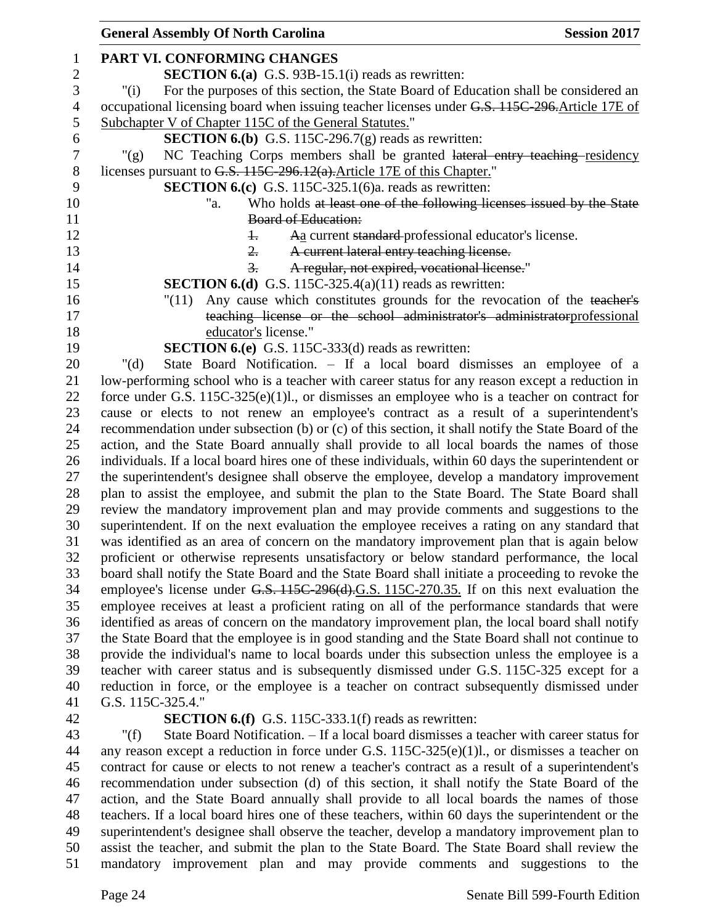| <b>General Assembly Of North Carolina</b>                                                          | <b>Session 2017</b> |
|----------------------------------------------------------------------------------------------------|---------------------|
| PART VI. CONFORMING CHANGES                                                                        |                     |
| <b>SECTION 6.(a)</b> G.S. 93B-15.1(i) reads as rewritten:                                          |                     |
| For the purposes of this section, the State Board of Education shall be considered an<br>" $(i)$   |                     |
| occupational licensing board when issuing teacher licenses under G.S. 115C-296. Article 17E of     |                     |
| Subchapter V of Chapter 115C of the General Statutes."                                             |                     |
| <b>SECTION 6.(b)</b> G.S. 115C-296.7(g) reads as rewritten:                                        |                     |
| NC Teaching Corps members shall be granted lateral entry teaching residency<br>" $(g)$             |                     |
| licenses pursuant to G.S. 115C-296.12(a). Article 17E of this Chapter."                            |                     |
| <b>SECTION 6.(c)</b> G.S. 115C-325.1(6)a. reads as rewritten:                                      |                     |
| Who holds at least one of the following licenses issued by the State<br>"a.                        |                     |
| <b>Board of Education:</b>                                                                         |                     |
| Aa current standard professional educator's license.<br>$\ddagger$                                 |                     |
| A current lateral entry teaching license.<br>$\overline{2}$ .                                      |                     |
| A regular, not expired, vocational license."<br>$\frac{3}{2}$                                      |                     |
| <b>SECTION 6.(d)</b> G.S. 115C-325.4(a)(11) reads as rewritten:                                    |                     |
| Any cause which constitutes grounds for the revocation of the teacher's<br>"(11)                   |                     |
| teaching license or the school administrator's administratorprofessional                           |                     |
| educator's license."                                                                               |                     |
| <b>SECTION 6.(e)</b> G.S. 115C-333(d) reads as rewritten:                                          |                     |
| State Board Notification. - If a local board dismisses an employee of a<br>" $(d)$                 |                     |
| low-performing school who is a teacher with career status for any reason except a reduction in     |                     |
| force under G.S. $115C-325(e)(1)l$ , or dismisses an employee who is a teacher on contract for     |                     |
| cause or elects to not renew an employee's contract as a result of a superintendent's              |                     |
| recommendation under subsection (b) or (c) of this section, it shall notify the State Board of the |                     |
| action, and the State Board annually shall provide to all local boards the names of those          |                     |
| individuals. If a local board hires one of these individuals, within 60 days the superintendent or |                     |
| the superintendent's designee shall observe the employee, develop a mandatory improvement          |                     |
| plan to assist the employee, and submit the plan to the State Board. The State Board shall         |                     |
| review the mandatory improvement plan and may provide comments and suggestions to the              |                     |
| superintendent. If on the next evaluation the employee receives a rating on any standard that      |                     |
| was identified as an area of concern on the mandatory improvement plan that is again below         |                     |
| proficient or otherwise represents unsatisfactory or below standard performance, the local         |                     |
| board shall notify the State Board and the State Board shall initiate a proceeding to revoke the   |                     |
| employee's license under G.S. 115C-296(d).G.S. 115C-270.35. If on this next evaluation the         |                     |
| employee receives at least a proficient rating on all of the performance standards that were       |                     |
| identified as areas of concern on the mandatory improvement plan, the local board shall notify     |                     |
| the State Board that the employee is in good standing and the State Board shall not continue to    |                     |
| provide the individual's name to local boards under this subsection unless the employee is a       |                     |
| teacher with career status and is subsequently dismissed under G.S. 115C-325 except for a          |                     |
| reduction in force, or the employee is a teacher on contract subsequently dismissed under          |                     |
| G.S. 115C-325.4."                                                                                  |                     |
| <b>SECTION 6.(f)</b> G.S. 115C-333.1(f) reads as rewritten:                                        |                     |

 "(f) State Board Notification. – If a local board dismisses a teacher with career status for any reason except a reduction in force under G.S. 115C-325(e)(1)l., or dismisses a teacher on contract for cause or elects to not renew a teacher's contract as a result of a superintendent's recommendation under subsection (d) of this section, it shall notify the State Board of the action, and the State Board annually shall provide to all local boards the names of those teachers. If a local board hires one of these teachers, within 60 days the superintendent or the superintendent's designee shall observe the teacher, develop a mandatory improvement plan to assist the teacher, and submit the plan to the State Board. The State Board shall review the mandatory improvement plan and may provide comments and suggestions to the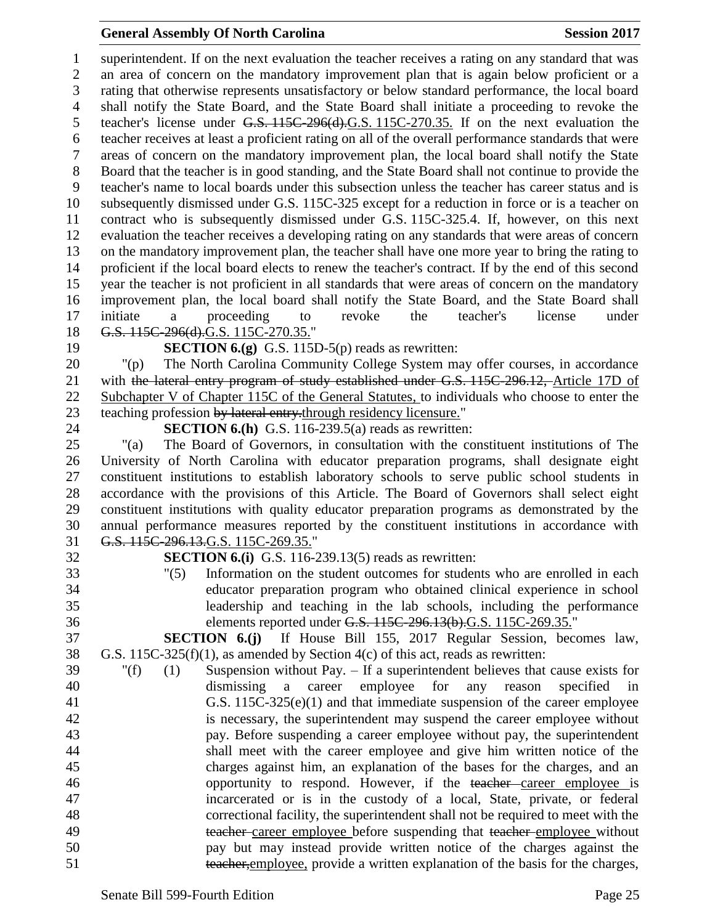### **General Assembly Of North Carolina Session 2017**

 superintendent. If on the next evaluation the teacher receives a rating on any standard that was an area of concern on the mandatory improvement plan that is again below proficient or a rating that otherwise represents unsatisfactory or below standard performance, the local board shall notify the State Board, and the State Board shall initiate a proceeding to revoke the teacher's license under G.S. 115C-296(d).G.S. 115C-270.35. If on the next evaluation the teacher receives at least a proficient rating on all of the overall performance standards that were areas of concern on the mandatory improvement plan, the local board shall notify the State Board that the teacher is in good standing, and the State Board shall not continue to provide the teacher's name to local boards under this subsection unless the teacher has career status and is subsequently dismissed under G.S. 115C-325 except for a reduction in force or is a teacher on contract who is subsequently dismissed under G.S. 115C-325.4. If, however, on this next evaluation the teacher receives a developing rating on any standards that were areas of concern on the mandatory improvement plan, the teacher shall have one more year to bring the rating to proficient if the local board elects to renew the teacher's contract. If by the end of this second year the teacher is not proficient in all standards that were areas of concern on the mandatory improvement plan, the local board shall notify the State Board, and the State Board shall initiate a proceeding to revoke the teacher's license under 18 G.S. 115C-296(d).G.S. 115C-270.35."

#### **SECTION 6.(g)** G.S. 115D-5(p) reads as rewritten:

 "(p) The North Carolina Community College System may offer courses, in accordance 21 with the lateral entry program of study established under G.S. 115C-296.12, Article 17D of Subchapter V of Chapter 115C of the General Statutes, to individuals who choose to enter the 23 teaching profession by lateral entry-through residency licensure."

**SECTION 6.(h)** G.S. 116-239.5(a) reads as rewritten:

 "(a) The Board of Governors, in consultation with the constituent institutions of The University of North Carolina with educator preparation programs, shall designate eight constituent institutions to establish laboratory schools to serve public school students in accordance with the provisions of this Article. The Board of Governors shall select eight constituent institutions with quality educator preparation programs as demonstrated by the annual performance measures reported by the constituent institutions in accordance with G.S. 115C-296.13.G.S. 115C-269.35."

**SECTION 6.(i)** G.S. 116-239.13(5) reads as rewritten:

 "(5) Information on the student outcomes for students who are enrolled in each educator preparation program who obtained clinical experience in school leadership and teaching in the lab schools, including the performance elements reported under G.S. 115C-296.13(b).G.S. 115C-269.35."

 **SECTION 6.(j)** If House Bill 155, 2017 Regular Session, becomes law, G.S. 115C-325(f)(1), as amended by Section 4(c) of this act, reads as rewritten:

 "(f) (1) Suspension without Pay. – If a superintendent believes that cause exists for dismissing a career employee for any reason specified in G.S. 115C-325(e)(1) and that immediate suspension of the career employee is necessary, the superintendent may suspend the career employee without pay. Before suspending a career employee without pay, the superintendent shall meet with the career employee and give him written notice of the charges against him, an explanation of the bases for the charges, and an 46 opportunity to respond. However, if the teacher career employee is incarcerated or is in the custody of a local, State, private, or federal correctional facility, the superintendent shall not be required to meet with the 49 teacher career employee before suspending that teacher employee without pay but may instead provide written notice of the charges against the teacher,employee, provide a written explanation of the basis for the charges,